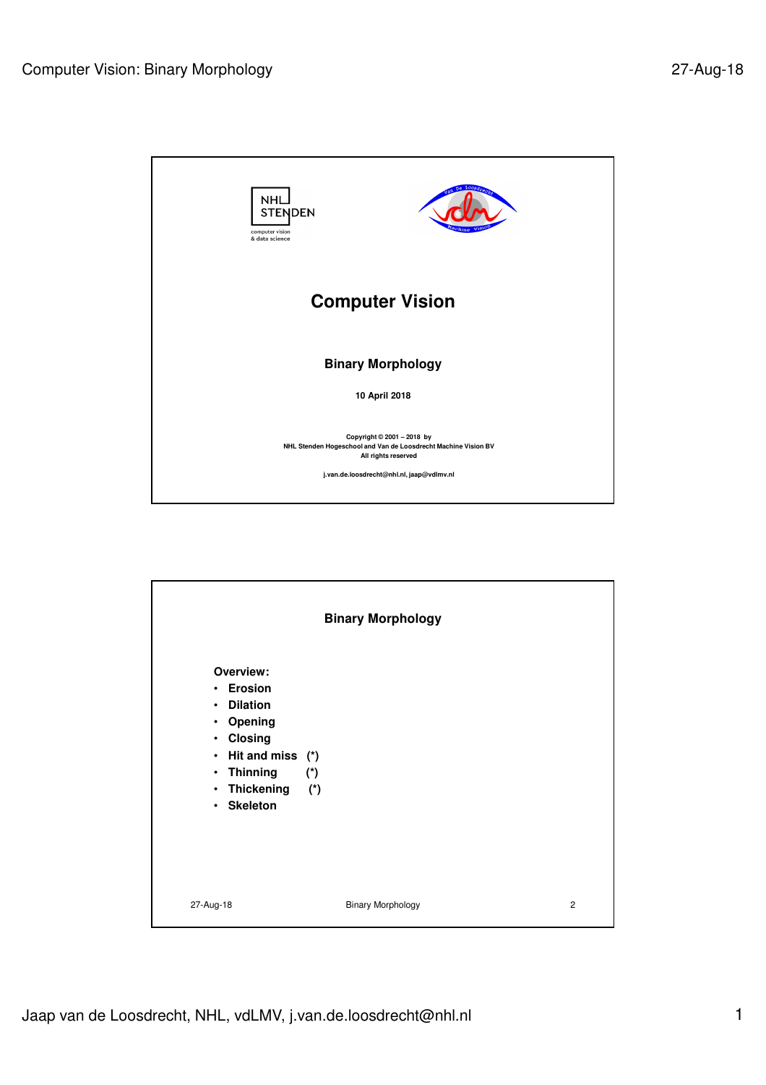

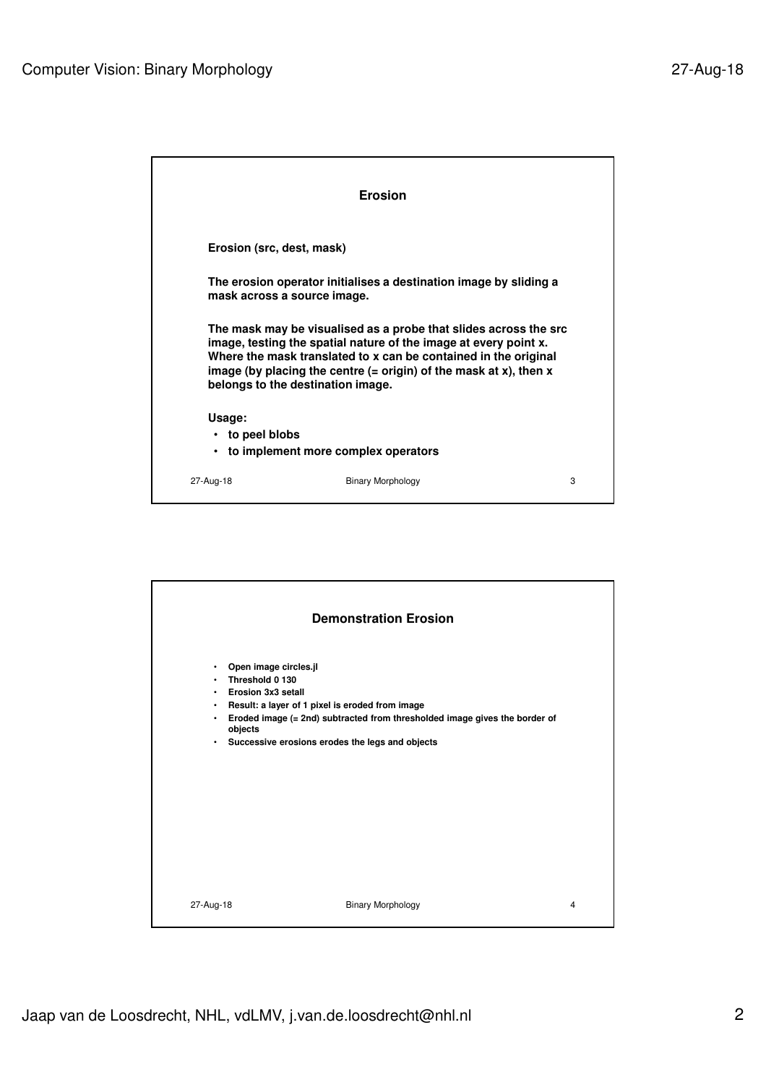|                                 | <b>Erosion</b>                                                                                                                                                                                                                                                                                                      |   |
|---------------------------------|---------------------------------------------------------------------------------------------------------------------------------------------------------------------------------------------------------------------------------------------------------------------------------------------------------------------|---|
| Erosion (src. dest. mask)       |                                                                                                                                                                                                                                                                                                                     |   |
| mask across a source image.     | The erosion operator initialises a destination image by sliding a                                                                                                                                                                                                                                                   |   |
|                                 | The mask may be visualised as a probe that slides across the src<br>image, testing the spatial nature of the image at every point x.<br>Where the mask translated to x can be contained in the original<br>image (by placing the centre $(= origin)$ of the mask at x), then x<br>belongs to the destination image. |   |
| Usage:<br>$\cdot$ to peel blobs | to implement more complex operators                                                                                                                                                                                                                                                                                 |   |
| 27-Aug-18                       | <b>Binary Morphology</b>                                                                                                                                                                                                                                                                                            | 3 |

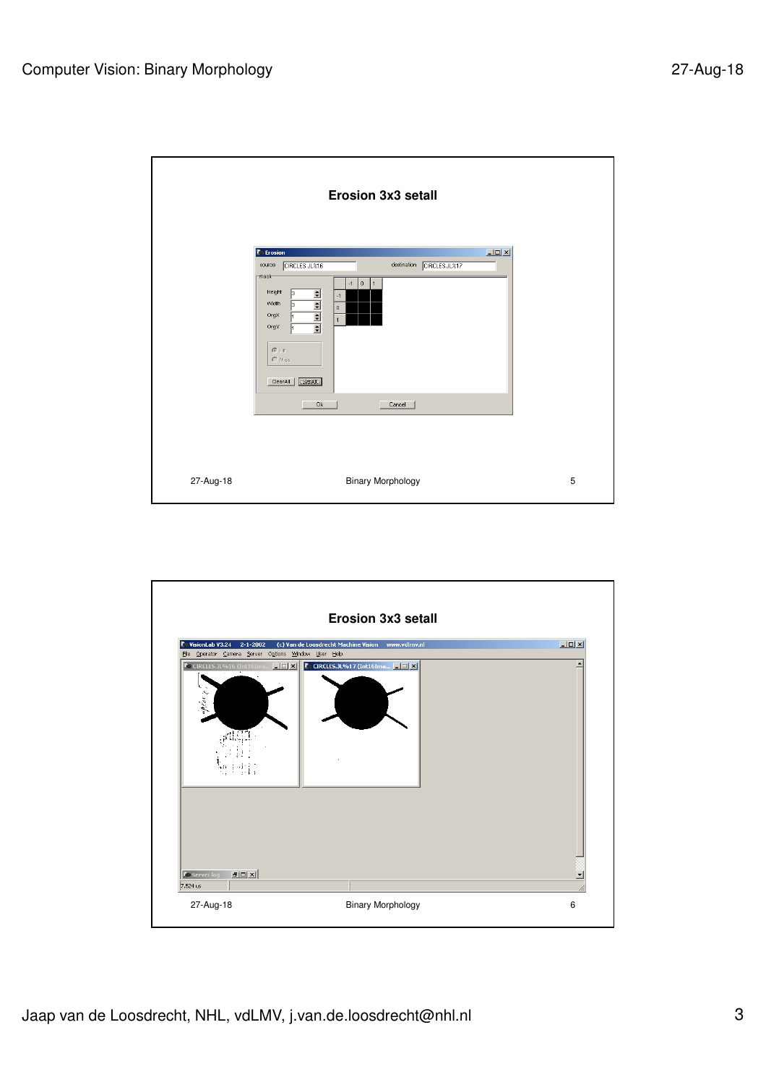|           | <b>Erosion 3x3 setall</b>                                                                                                                                                                                                                                                                                         |   |
|-----------|-------------------------------------------------------------------------------------------------------------------------------------------------------------------------------------------------------------------------------------------------------------------------------------------------------------------|---|
|           | $\Box$ D $\Box$<br><b><i>C</i></b> Erosion<br>destination<br>CIRCLES.JL%16<br>CIRCLES.JL%17<br>source<br>mask-<br>$-1$ 0<br>  1<br>Height<br>$\frac{1}{2}$<br>3<br>$^{\circ}$ 1<br>Width<br>3<br>$\mathbf 0$<br>OrgX<br>$\overline{1}$<br>OrgY<br>$G$ Hit<br>$\cap$ Miss<br>[SetAIII]<br>ClearAll<br>0k<br>Cancel |   |
| 27-Aug-18 | <b>Binary Morphology</b>                                                                                                                                                                                                                                                                                          | 5 |

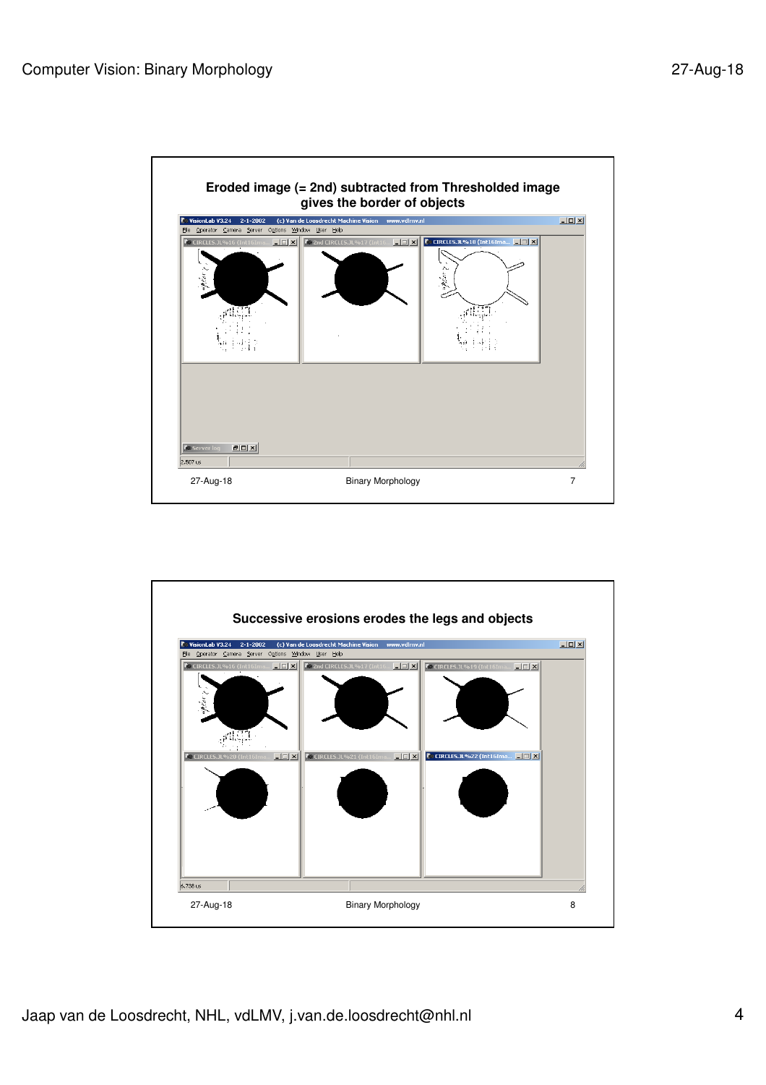

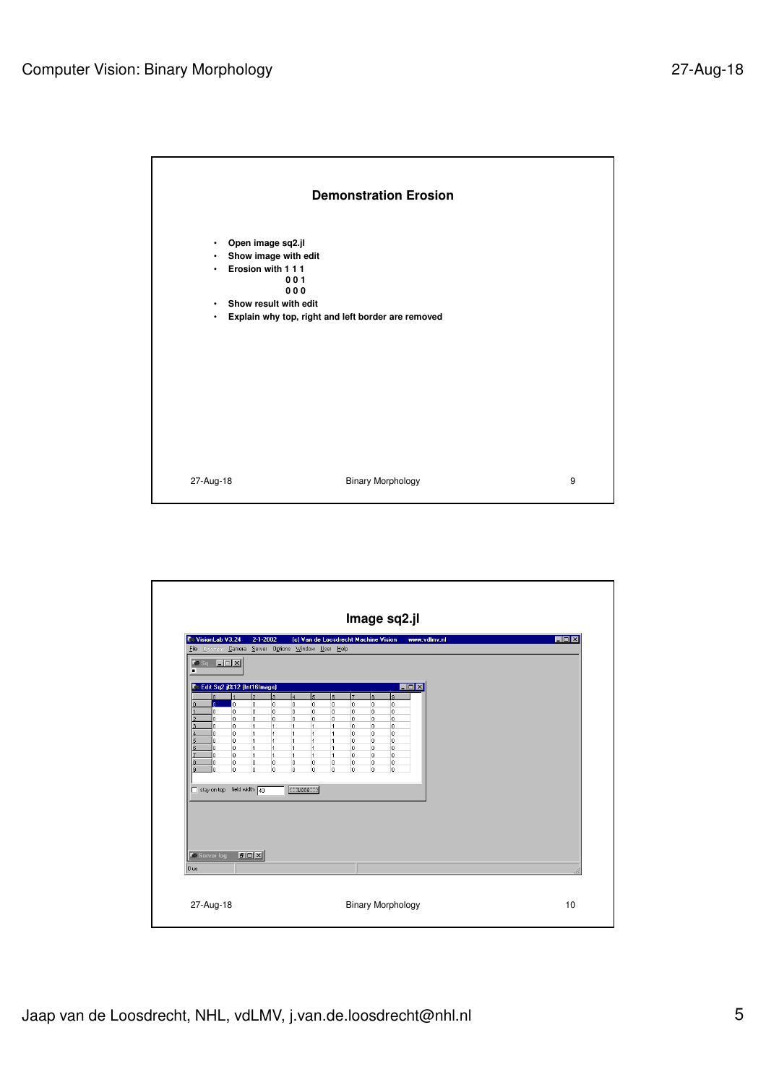

| VisionLab V3.24<br>File Operator Camera Server Options Window User Help |            | $2 - 1 - 2002$                                         |                                  |                                |                                  |                      | (c) Van de Loosdrecht Machine Vision |                                |                   | www.vdlmv.nl |  |  | $\Box$ o $\mathbf{x}$ |
|-------------------------------------------------------------------------|------------|--------------------------------------------------------|----------------------------------|--------------------------------|----------------------------------|----------------------|--------------------------------------|--------------------------------|-------------------|--------------|--|--|-----------------------|
| $\bullet$ Sq $\Box$ $\Box$ $\times$<br>п                                |            |                                                        |                                  |                                |                                  |                      |                                      |                                |                   |              |  |  |                       |
| Edit Sq2.jl%12 (Int16Image)<br>r                                        |            |                                                        |                                  |                                |                                  |                      |                                      |                                | $\Box$ D $\times$ |              |  |  |                       |
| n.<br>o.                                                                | lo.        | l2<br>lз<br>lo.<br>lo.                                 | $\overline{4}$<br>lo.            | $\overline{5}$<br>o            | l6<br>o                          | lz<br>$\overline{0}$ | ls.<br>$\overline{0}$                | $\overline{9}$<br>$\mathbf{0}$ |                   |              |  |  |                       |
| n.<br>n                                                                 | 0<br>o     | o<br>o<br>lo.<br>lo.                                   | o.<br>o.                         | 0<br>0                         | 0<br>0                           | 0<br>0               | $\,0$<br>0                           | 0<br>0                         |                   |              |  |  |                       |
| n<br>o.                                                                 | lo.<br>0   | 1<br>$\overline{1}$<br>$\vert$ 1<br>$\overline{1}$     | $\overline{1}$<br>$\overline{1}$ | $\overline{1}$<br>$\mathbf{1}$ | $\overline{1}$<br>$\overline{1}$ | o<br>0               | o<br>0                               | 0<br>0                         |                   |              |  |  |                       |
| 5<br>n.<br>6<br>n.                                                      | l0.<br>o   | ł1<br>$\overline{1}$<br>$\mathbf{1}$<br>$\overline{1}$ | $\overline{1}$<br>$\overline{1}$ | $\overline{1}$<br>$\mathbf{1}$ | $\overline{1}$<br>$\overline{1}$ | o<br>0               | 0<br>o                               | 0<br>0                         |                   |              |  |  |                       |
| ٥<br>8                                                                  | lo.        | <sup>1</sup><br>$\overline{1}$                         | 11.                              | $\mathbf{1}$                   | $\overline{1}$                   | o                    | 0                                    | 0                              |                   |              |  |  |                       |
| 0<br>ğ,<br>n.                                                           | о<br>o     | o<br>O.<br>lo.<br>o                                    | 0<br>o.                          | 0<br>o                         | 0<br>0                           | 0<br>o               | o<br>0                               | 0<br>0                         |                   |              |  |  |                       |
| stay on top field width 40                                              |            |                                                        | $\Box$ Done $\Box$               |                                |                                  |                      |                                      |                                |                   |              |  |  |                       |
|                                                                         |            |                                                        |                                  |                                |                                  |                      |                                      |                                |                   |              |  |  |                       |
|                                                                         |            |                                                        |                                  |                                |                                  |                      |                                      |                                |                   |              |  |  |                       |
|                                                                         |            |                                                        |                                  |                                |                                  |                      |                                      |                                |                   |              |  |  |                       |
|                                                                         |            |                                                        |                                  |                                |                                  |                      |                                      |                                |                   |              |  |  |                       |
| <b>C</b> Server log                                                     | <b>FOX</b> |                                                        |                                  |                                |                                  |                      |                                      |                                |                   |              |  |  |                       |
|                                                                         |            |                                                        |                                  |                                |                                  |                      |                                      |                                |                   |              |  |  |                       |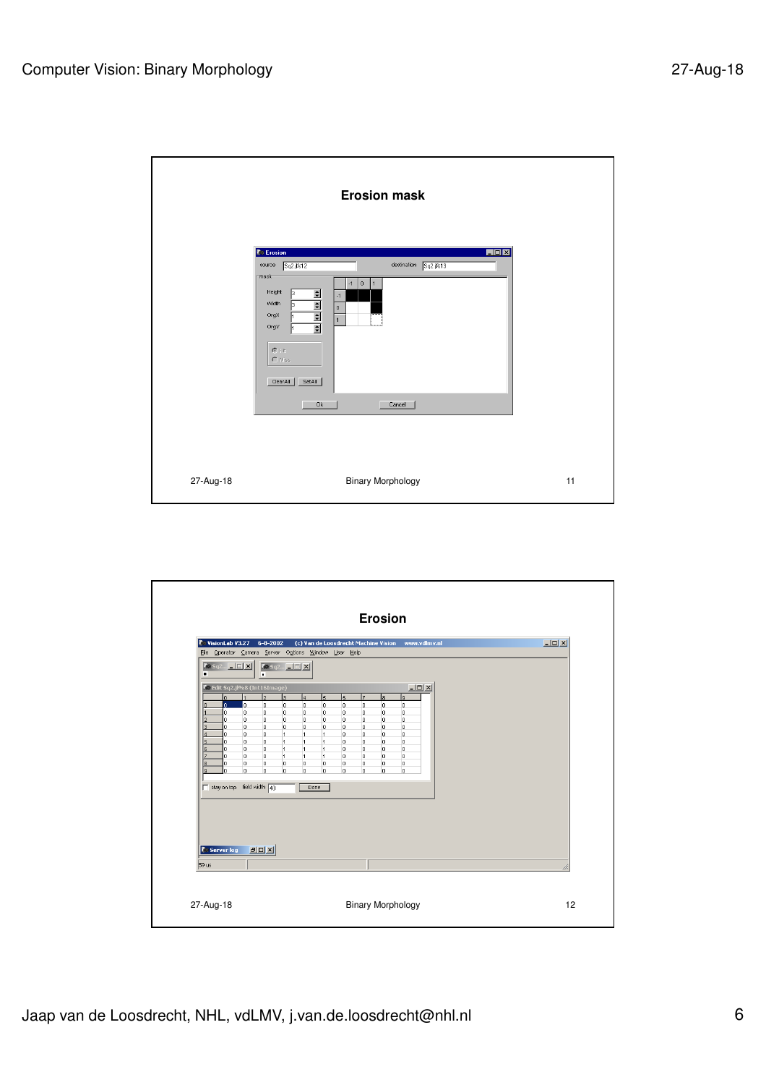|           | <b>Erosion mask</b>                                                                                                                                                                                                                                                                                                                                       |    |
|-----------|-----------------------------------------------------------------------------------------------------------------------------------------------------------------------------------------------------------------------------------------------------------------------------------------------------------------------------------------------------------|----|
|           | $\Box$ D $\Box$<br><b>C</b> Erosion<br>Sq2.1%12<br>destination Sq2.jl%13<br>source<br>mask-<br>0<br>$-1$<br>1<br>Height<br>同<br>$\frac{1}{2}$ $\frac{1}{2}$ $\frac{1}{2}$ $\frac{1}{2}$ $\frac{1}{2}$<br>$-1$<br>Width<br>Б<br>$\mathbf 0$<br>OrgX<br>$\overline{1}$<br>OrgY<br>$\mathfrak{S}$ Hit<br><b>O</b> Miss<br>ClearAll<br>SetAll<br>0k<br>Cancel |    |
| 27-Aug-18 | <b>Binary Morphology</b>                                                                                                                                                                                                                                                                                                                                  | 11 |

| VisionLab V3.27<br>$6 - 8 - 2002$<br>File Operator Camera Server Options Window User Help                                                                                                                                                                                                                                                                            | (c) Van de Loosdrecht Machine Vision www.vdlmv.nl                                                                                                                                                                                                                                                                                                        |                                                                                                                                                                              | $\Box$ D $\Box$ |
|----------------------------------------------------------------------------------------------------------------------------------------------------------------------------------------------------------------------------------------------------------------------------------------------------------------------------------------------------------------------|----------------------------------------------------------------------------------------------------------------------------------------------------------------------------------------------------------------------------------------------------------------------------------------------------------------------------------------------------------|------------------------------------------------------------------------------------------------------------------------------------------------------------------------------|-----------------|
| $\left  \bullet \right $ sq2 $\left  \right $ $\left  \right $ $\left  \right $ $\left  \right $<br>$\sqrt{2 \cdot 5q^2}$ $\sqrt{2 \cdot 5q^2}$<br>п<br>٠                                                                                                                                                                                                            |                                                                                                                                                                                                                                                                                                                                                          |                                                                                                                                                                              |                 |
| $\overline{2}$<br>$\overline{\mathbf{3}}$<br>$\Omega$<br>lo.<br>o.<br>o<br>$\Omega$<br>O<br>o<br>o<br>0<br>o<br>0<br>o<br>0<br>0<br>o<br>n<br>0<br>o<br>ł.<br>0<br>0<br>$\overline{1}$<br>o<br>0<br>6<br>$\overline{1}$<br>n<br>0<br>O.<br>$\overline{1}$<br>0<br>o<br>о<br>o<br>0<br>Iε<br>o<br>o<br>o<br>١я<br>n<br>field width $\boxed{40}$<br>$\Box$ stay on top | lz<br>l6.<br>l4<br>5<br>0<br>o<br>0<br>0<br>0<br>o<br>0<br>$\circ$<br>0<br>0<br>0<br>0<br>0<br>0<br>0<br>0<br>$\overline{1}$<br>$\overline{1}$<br>0<br>0<br>$\overline{1}$<br>0<br>0<br>$\mathbf{1}$<br>$\overline{1}$<br>$\overline{1}$<br>0<br>o<br>$\mathbf{1}$<br>$\overline{1}$<br>0<br>0<br>o<br>0<br>0<br>0<br>o<br>o<br>$\mathbf 0$<br>o<br>Done | ls.<br>lя<br>0<br>$\overline{0}$<br>$\overline{0}$<br>0<br>$\,0$<br>$\bf{0}$<br>0<br>$\overline{0}$<br>o<br>0<br>0<br>$\overline{0}$<br>o<br>o<br>o<br>o<br>o<br>o<br>o<br>o |                 |
| <b>DOX</b><br><b>C</b> Server log<br>59 us                                                                                                                                                                                                                                                                                                                           |                                                                                                                                                                                                                                                                                                                                                          |                                                                                                                                                                              |                 |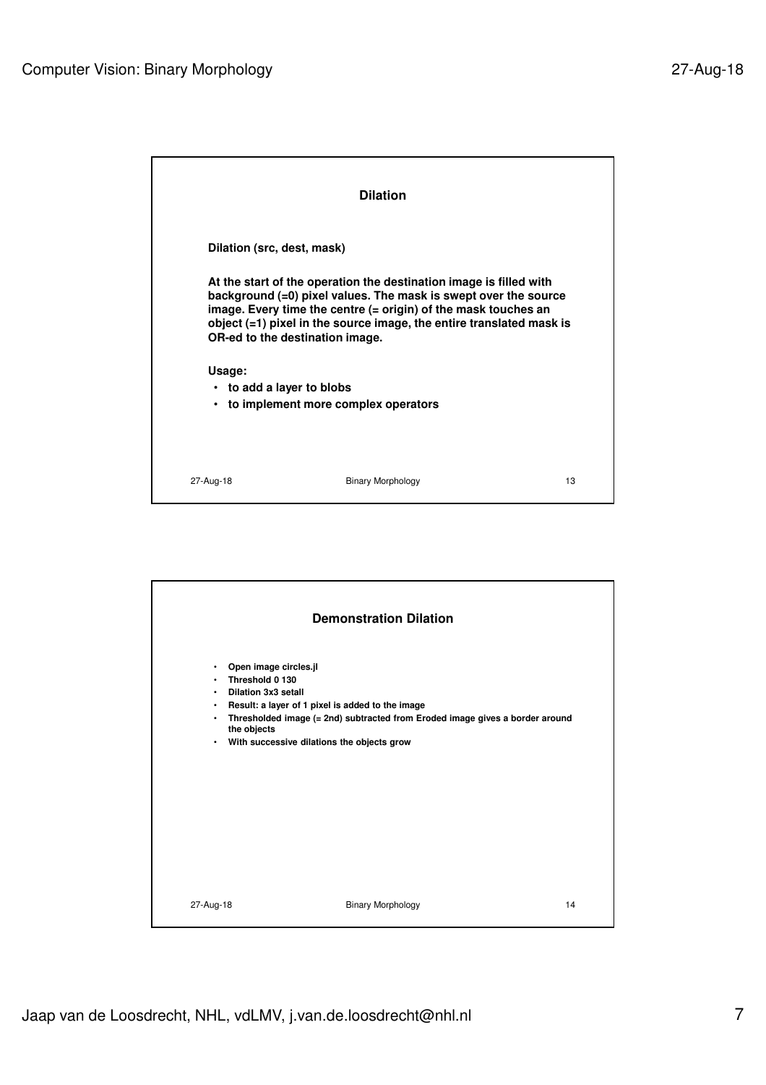|                                                  | <b>Dilation</b>                                                                                                                                                                                                                                                                                                    |    |
|--------------------------------------------------|--------------------------------------------------------------------------------------------------------------------------------------------------------------------------------------------------------------------------------------------------------------------------------------------------------------------|----|
| Dilation (src, dest, mask)                       |                                                                                                                                                                                                                                                                                                                    |    |
|                                                  | At the start of the operation the destination image is filled with<br>background (=0) pixel values. The mask is swept over the source<br>image. Every time the centre (= origin) of the mask touches an<br>object (=1) pixel in the source image, the entire translated mask is<br>OR-ed to the destination image. |    |
| Usage:<br>• to add a layer to blobs<br>$\bullet$ | to implement more complex operators                                                                                                                                                                                                                                                                                |    |
| 27-Aug-18                                        | <b>Binary Morphology</b>                                                                                                                                                                                                                                                                                           | 13 |

| <b>Demonstration Dilation</b>                                                                            |    |
|----------------------------------------------------------------------------------------------------------|----|
| Open image circles.jl<br>$\bullet$                                                                       |    |
| Threshold 0 130<br>$\bullet$                                                                             |    |
| • Dilation 3x3 setall<br>Result: a layer of 1 pixel is added to the image<br>$\bullet$                   |    |
| Thresholded image (= 2nd) subtracted from Eroded image gives a border around<br>$\bullet$<br>the objects |    |
| • With successive dilations the objects grow                                                             |    |
|                                                                                                          |    |
|                                                                                                          |    |
|                                                                                                          |    |
|                                                                                                          |    |
|                                                                                                          |    |
|                                                                                                          |    |
|                                                                                                          |    |
| <b>Binary Morphology</b><br>27-Aug-18                                                                    | 14 |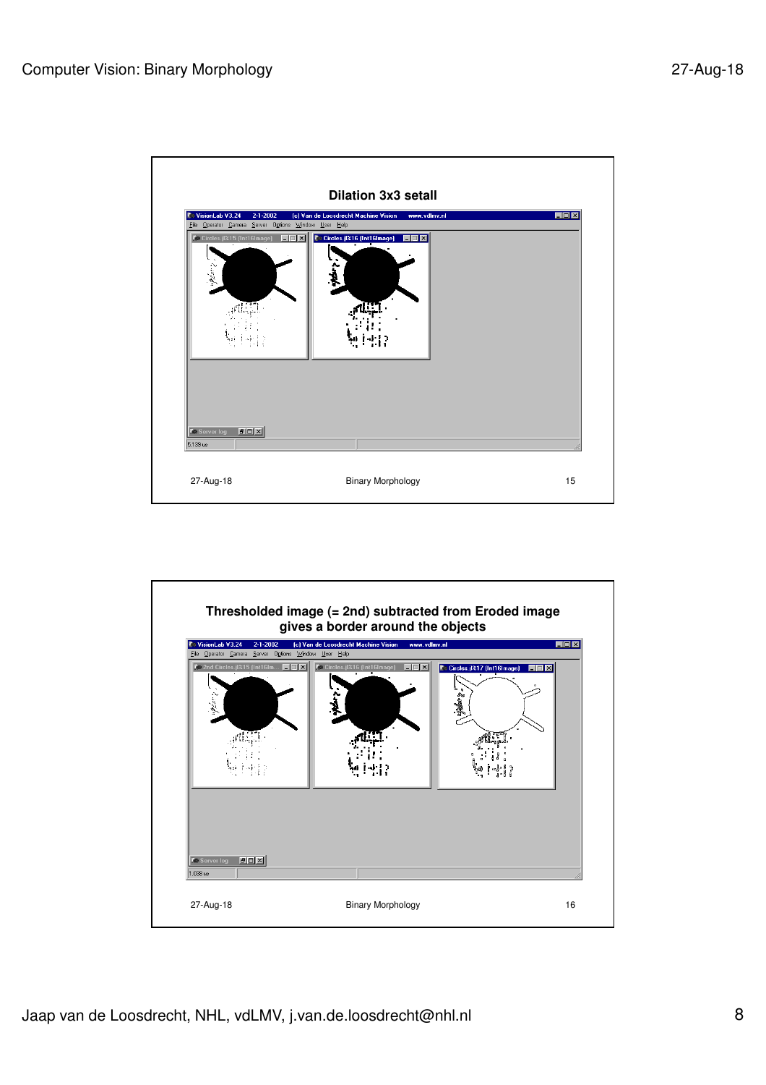

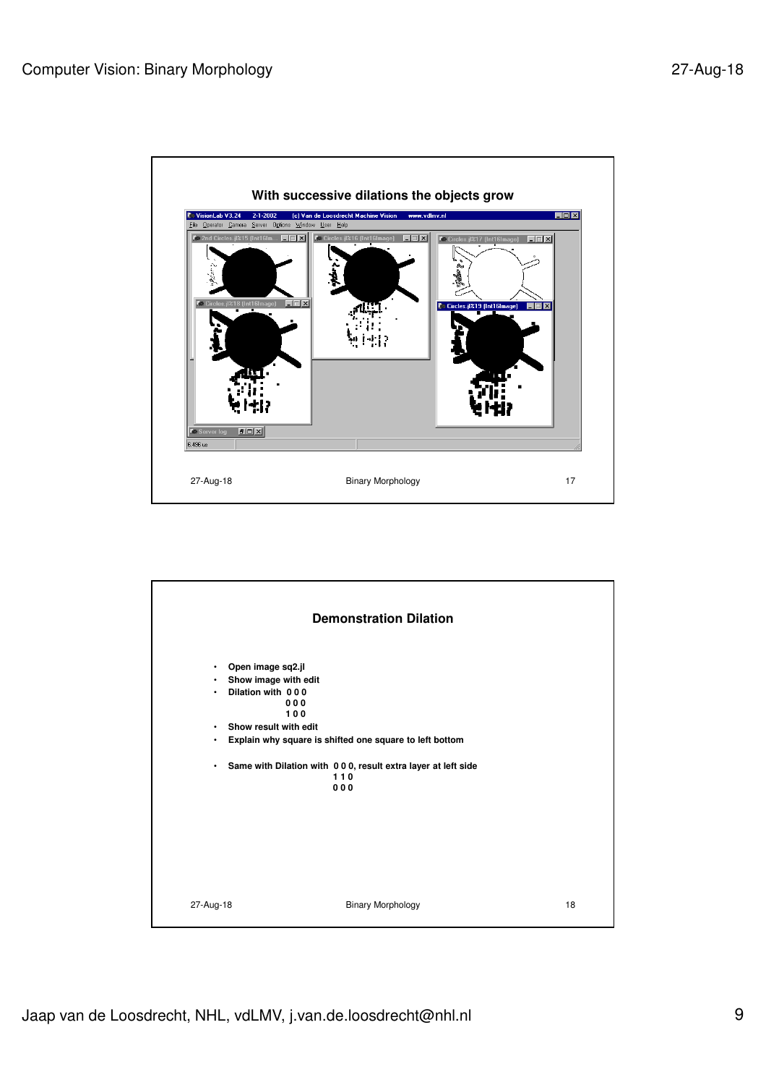

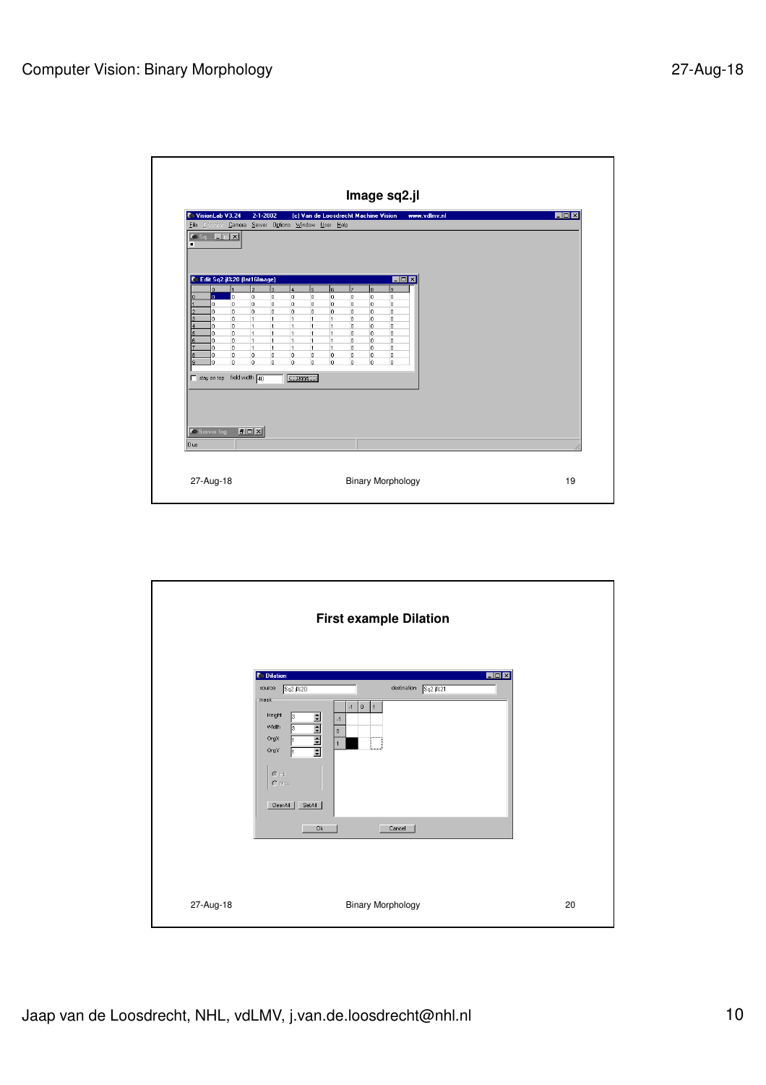| <b>C</b> VisionLab V3.24<br>$\bullet$ Sq $\Box$ $\Box$ $\times$ |                                                        | $2 - 1 - 2002$<br>File Operator Camera Server Options Window User Help                               | (c) Van de Loosdrecht Machine Vision                 |                               | www.vdlmv.nl | EDX |
|-----------------------------------------------------------------|--------------------------------------------------------|------------------------------------------------------------------------------------------------------|------------------------------------------------------|-------------------------------|--------------|-----|
| п                                                               |                                                        |                                                                                                      |                                                      |                               |              |     |
|                                                                 | Edit Sq2.jl%20 (Int16Image)                            |                                                                                                      |                                                      | $\Box$ D $\Box$               |              |     |
| $\overline{a}$<br>o.<br>o.                                      | l2<br>lo.<br>lo.<br>O.<br>lo.                          | lз<br>l4<br>$\overline{5}$<br>0<br>lo.<br>o<br>lo.<br>0<br>0                                         | l7<br>l6.<br>o<br>l0<br>0<br>o                       | lз<br>ls.<br>0<br>0<br>0<br>0 |              |     |
| o.<br>3<br>0                                                    | lo.<br>o.<br>l1<br>l0.                                 | lo.<br>O.<br>o<br>$\overline{1}$<br>$\overline{1}$<br>$\mathbf{1}$                                   | o<br>o<br>lo.<br>$\overline{1}$                      | o<br>$\circ$<br>o<br>$\circ$  |              |     |
| 0<br>n.<br>5                                                    | lo.<br>$\vert$ 1<br>o<br>$\mathbf{1}$                  | $\overline{1}$<br>$\overline{1}$<br>$\mathbf{1}$<br>$\overline{1}$<br>$\overline{1}$<br>$\mathbf{1}$ | $\overline{1}$<br>o<br>o<br>$\overline{1}$           | o<br>0<br>o<br>0              |              |     |
| ĥ<br>ň.<br>0<br>Ō<br>8                                          | lo.<br>$\overline{1}$<br>$\overline{1}$<br>o<br>o<br>0 | $\overline{1}$<br>$\mathbf{1}$<br>1<br>1<br>1<br>$\mathbf{1}$<br>o<br>0<br>0                         | 0<br>$\overline{1}$<br>0<br>$\overline{1}$<br>0<br>0 | 0<br>0<br>o<br>o<br>0<br>o    |              |     |
| g.<br>ň.                                                        | o<br>۱o                                                | o<br>o<br>0                                                                                          | o<br>0                                               | 0<br>0                        |              |     |
| $\Box$ stay on top                                              | field width $\boxed{40}$                               | w                                                                                                    |                                                      |                               |              |     |
|                                                                 |                                                        |                                                                                                      |                                                      |                               |              |     |
|                                                                 |                                                        |                                                                                                      |                                                      |                               |              |     |
| <b>C</b> Server log<br>$0$ us                                   | <b>FOX</b>                                             |                                                                                                      |                                                      |                               |              |     |

|           | <b>First example Dilation</b>                                                                                                                                                                                                                                                                                        |    |
|-----------|----------------------------------------------------------------------------------------------------------------------------------------------------------------------------------------------------------------------------------------------------------------------------------------------------------------------|----|
|           | <b><i>C</i></b> Dilation<br>$\Box$<br>destination Sq2.jl%21<br>source<br>5q2.1220<br>mask<br>$-1$ 0<br>$\vert$ 1<br>Height<br>B.<br>$\Rightarrow$<br>$-1$<br>$\frac{1}{2}$<br>Width<br>Iз<br>$\bf{0}$<br>OrgX<br>$\overline{1}$<br>OrgY<br>$\mathbf C$ Hit<br>$\mathbf C$ Miss<br>ClearAll<br>SetAll<br>0k<br>Cancel |    |
| 27-Aug-18 | <b>Binary Morphology</b>                                                                                                                                                                                                                                                                                             | 20 |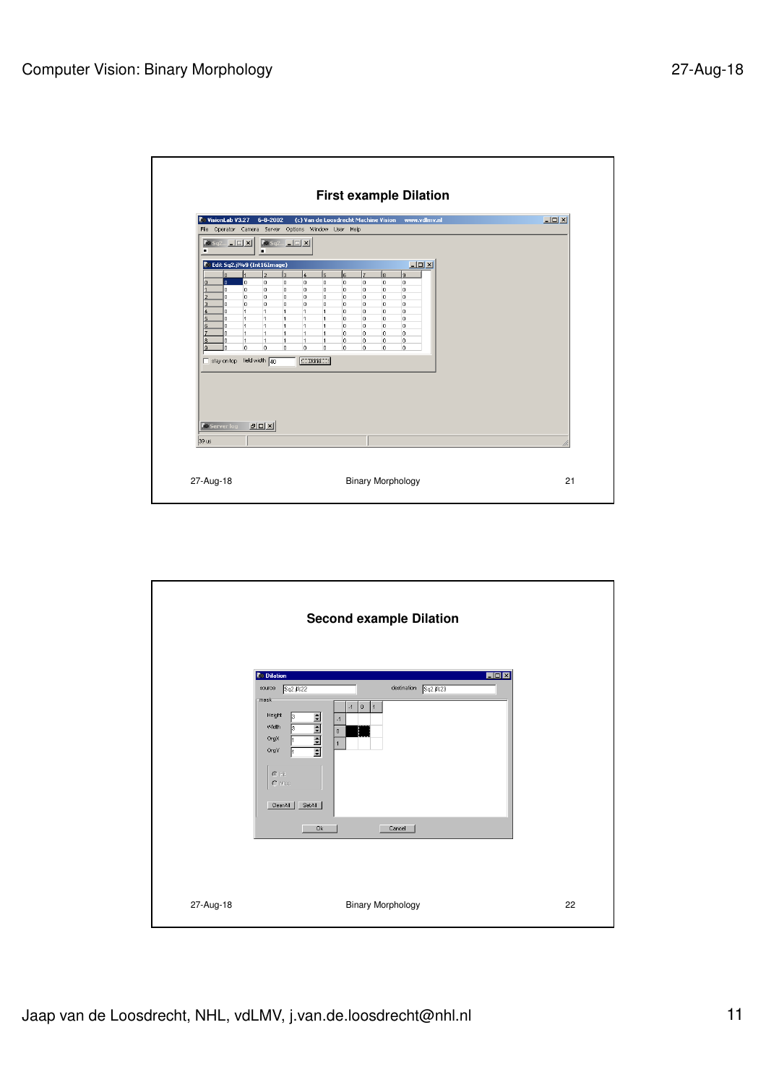|                                               | $\log_{10}$ sq2 $\boxed{1}$ $\boxed{2}$ $\boxed{2}$                                                                                                                                                                        |                                                                                                                                                                                                                                                                  | File Operator Camera Server Options Window User Help<br>$\sqrt{8}$ Sq2 $\boxed{1}$ X                                                                                    |                                                                                                                                                                                                      |                                                                 |                                                                                      |                                                                                              |  |  |  |
|-----------------------------------------------|----------------------------------------------------------------------------------------------------------------------------------------------------------------------------------------------------------------------------|------------------------------------------------------------------------------------------------------------------------------------------------------------------------------------------------------------------------------------------------------------------|-------------------------------------------------------------------------------------------------------------------------------------------------------------------------|------------------------------------------------------------------------------------------------------------------------------------------------------------------------------------------------------|-----------------------------------------------------------------|--------------------------------------------------------------------------------------|----------------------------------------------------------------------------------------------|--|--|--|
| ö<br>3.<br>5<br>6<br>z<br>l8.<br>l9.<br>39 us | lo.<br>lo.<br>lo.<br>lo.<br>o.<br>lo.<br>ln.<br>lo.<br>lo.<br>1<br>lo.<br>ln.<br>l1<br>lo.<br>$\overline{1}$<br>lo.<br>$\overline{1}$<br>lo.<br>$\overline{1}$<br>ln.<br>lo.<br>$\Box$ stay on top<br><b>Co Server log</b> | <b>Edit Sq2.jl%9 (Int16Image)</b><br>b<br>o<br>O<br>o<br>o<br>lo.<br>$\overline{1}$<br>ł.<br>$\overline{1}$<br>$\overline{1}$<br>$\overline{1}$<br>$\overline{1}$<br>$\overline{1}$<br>11.<br>$\overline{1}$<br>1<br>o<br>field width $\boxed{40}$<br><b>BDX</b> | $\overline{3}$<br>$\overline{4}$<br>lo.<br>0<br>lo.<br>0<br>o.<br>o.<br>o<br>$\overline{1}$<br>1<br>$\mathbf{1}$<br>$\mathbf{1}$<br>$\mathbf{1}$<br>0<br>0<br>$\n  Two$ | ls.<br>ls<br>o<br>O<br>o<br>$\circ$<br>lo.<br>lo.<br>lo.<br>lo.<br>$\overline{1}$<br>IO.<br>$\overline{1}$<br>lo.<br>$\overline{1}$<br>lo.<br>$\overline{1}$<br>l0.<br>$\mathbf{1}$<br>O<br>lo.<br>0 | ١z<br>o<br>$\circ$<br>lo.<br>0<br>0<br>lo.<br>o.<br>0<br>0<br>o | ls.<br>l0<br>$\circ$<br>lo.<br>lo.<br>$\overline{0}$<br>lo.<br>lo.<br>lo.<br>O.<br>o | $-10x$<br>$\overline{a}$<br>$\circ$<br>0<br>lo.<br>o<br>lo.<br>lo.<br>$\circ$<br>o<br>o<br>o |  |  |  |

|           | <b>Second example Dilation</b>                                                                                                                                                                                                                                                                           |    |
|-----------|----------------------------------------------------------------------------------------------------------------------------------------------------------------------------------------------------------------------------------------------------------------------------------------------------------|----|
|           | <b>Dilation</b><br>$\Box$ D $\times$<br>destination Sq2.jl%23<br>source<br>Sq2.jl%22<br>mask-<br>$-1$ 0<br>$\vert$ 1<br>Height<br>$\Rightarrow$<br>3<br>$-1$<br>$\frac{1}{2}$<br>Width<br>Iз<br>$\mathbf 0$<br>OrgX<br>$\overline{1}$<br>OrgY<br>$C$ Hit<br>C Miss<br>ClearAll<br>SetAll<br>0k<br>Cancel |    |
| 27-Aug-18 | <b>Binary Morphology</b>                                                                                                                                                                                                                                                                                 | 22 |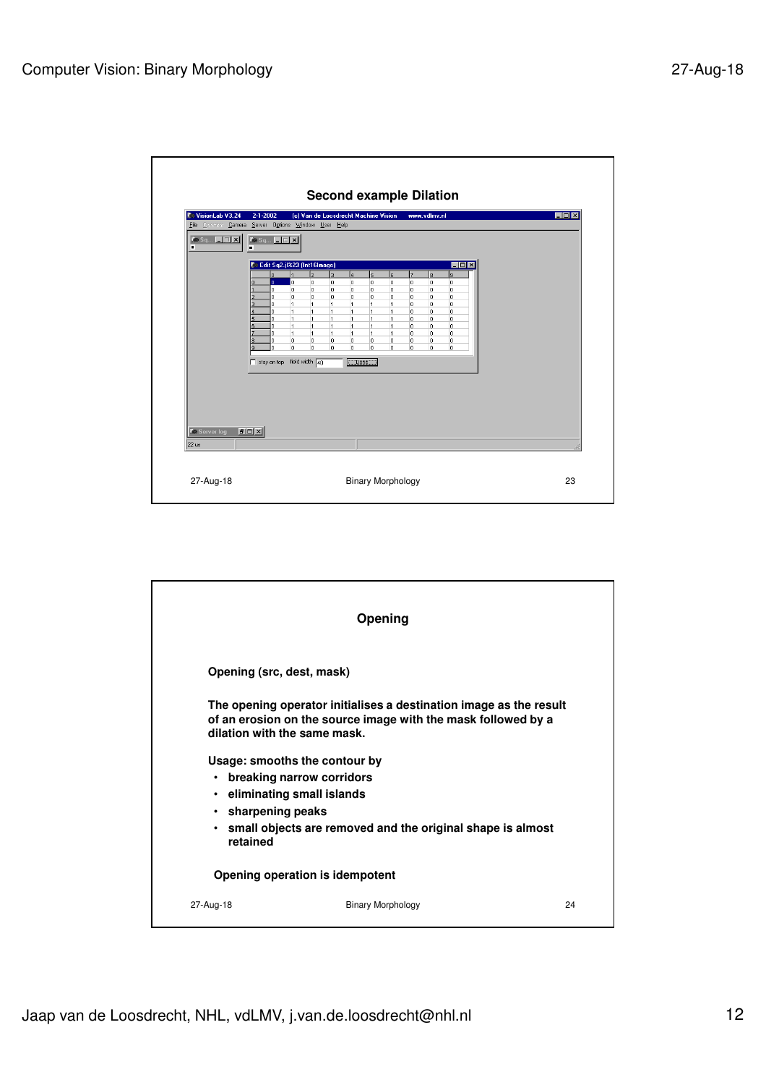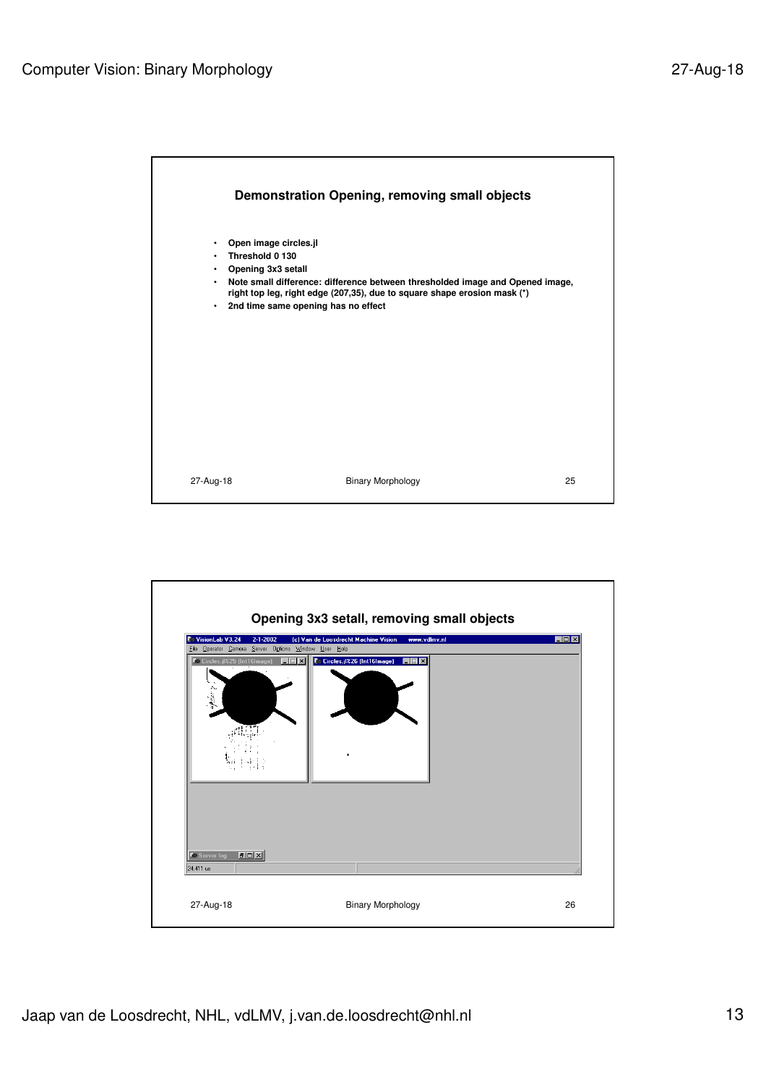

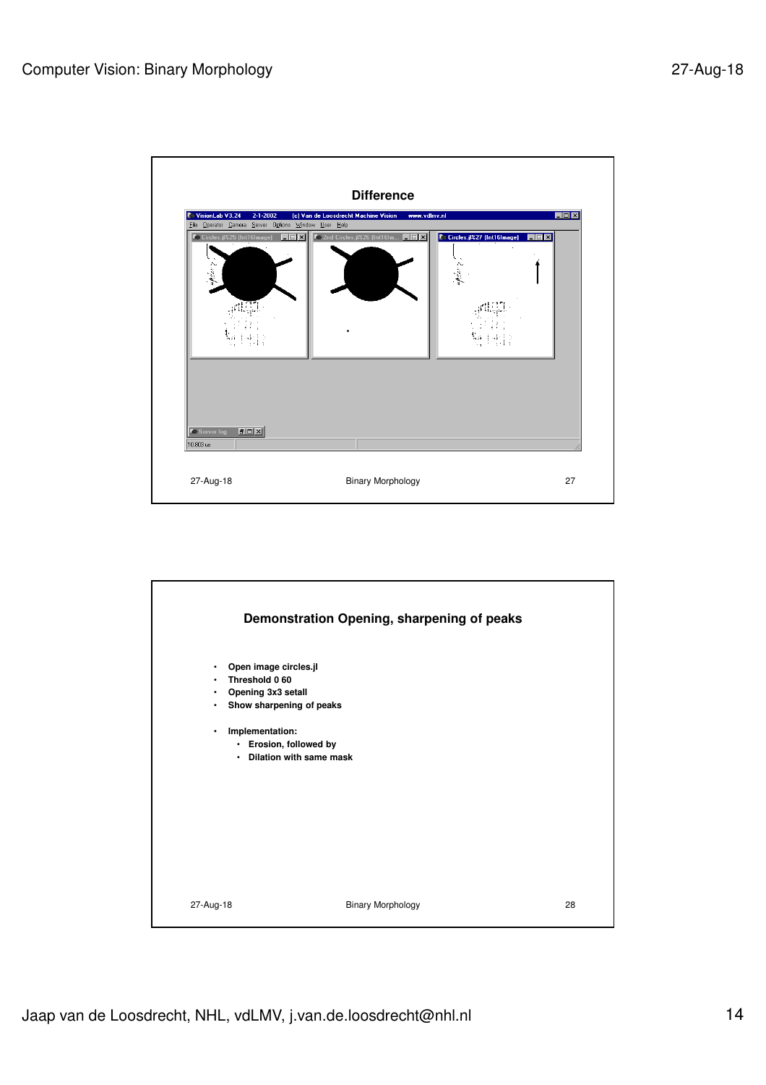

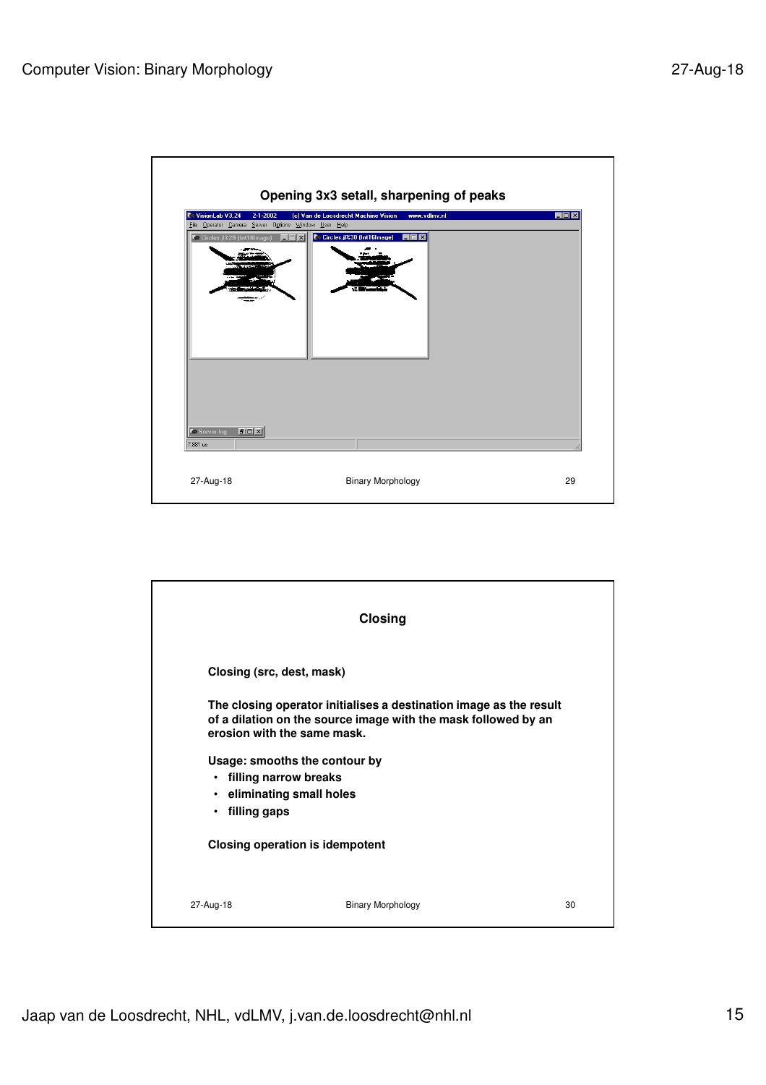

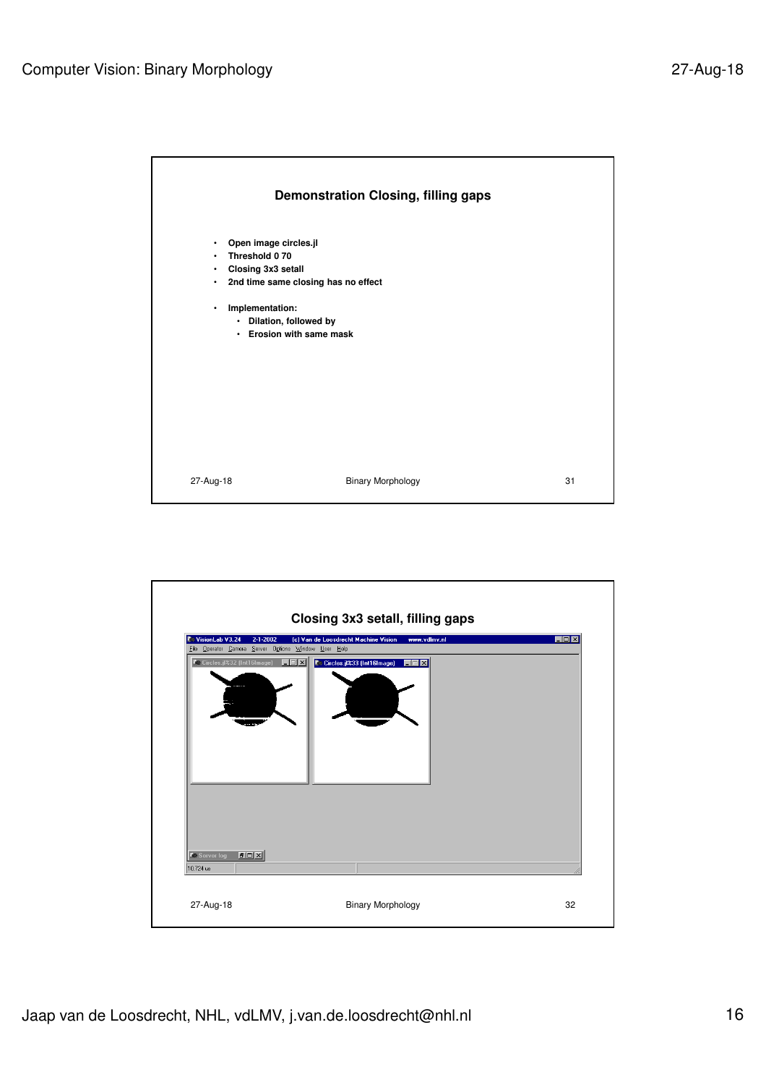

|                                               |                                                                        | Closing 3x3 setall, filling gaps                     |                 |
|-----------------------------------------------|------------------------------------------------------------------------|------------------------------------------------------|-----------------|
| <b>C</b> VisionLab V3.24                      | $2 - 1 - 2002$<br>File Operator Camera Server Options Window User Help | (c) Van de Loosdrecht Machine Vision<br>www.vdlmv.nl | $\Box$ D $\Box$ |
|                                               | <b>C</b> e Circles.jl%32 (Int16Image)<br>$\Box$                        | C Circles.jl%33 (Int16Image)<br>$\square$ $\times$   |                 |
| <b>C</b> Server log<br>10.724 us<br>27-Aug-18 | <b>PDX</b>                                                             | <b>Binary Morphology</b>                             | 32              |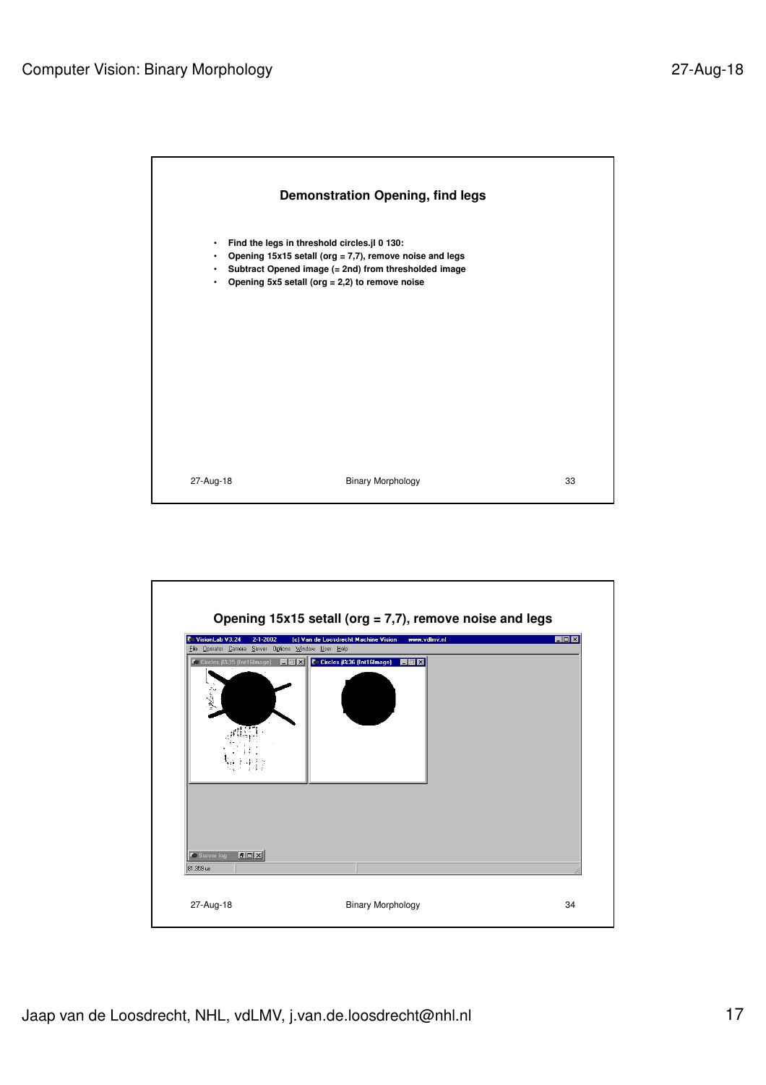

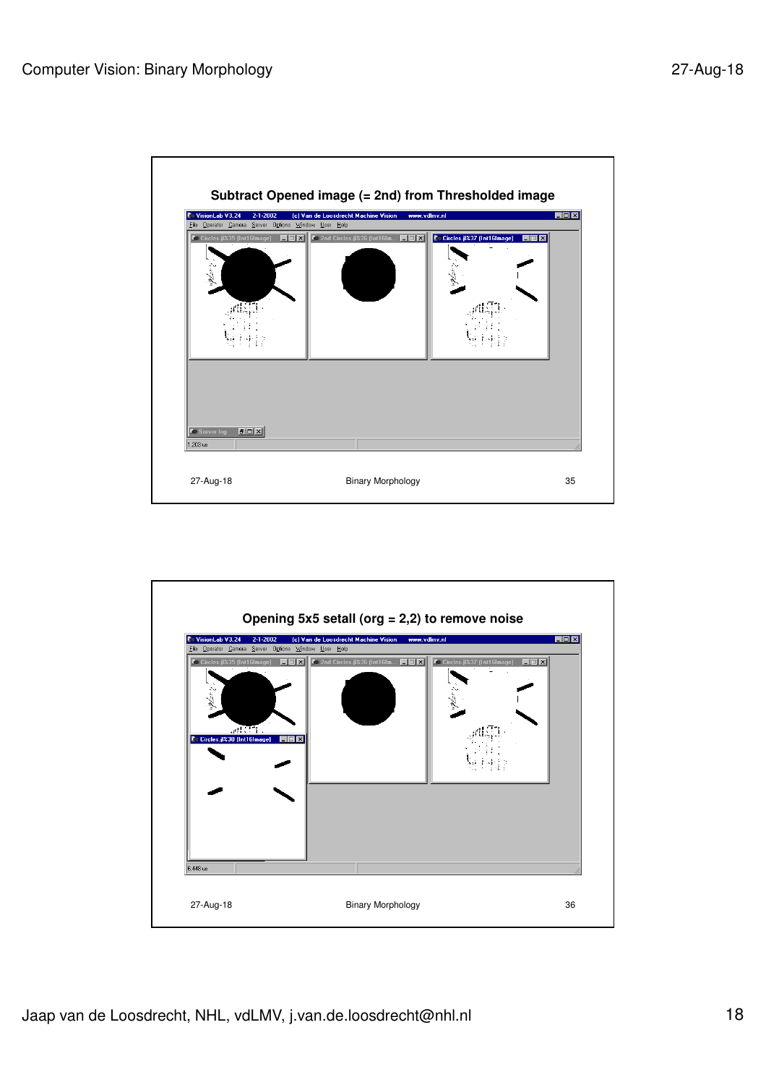

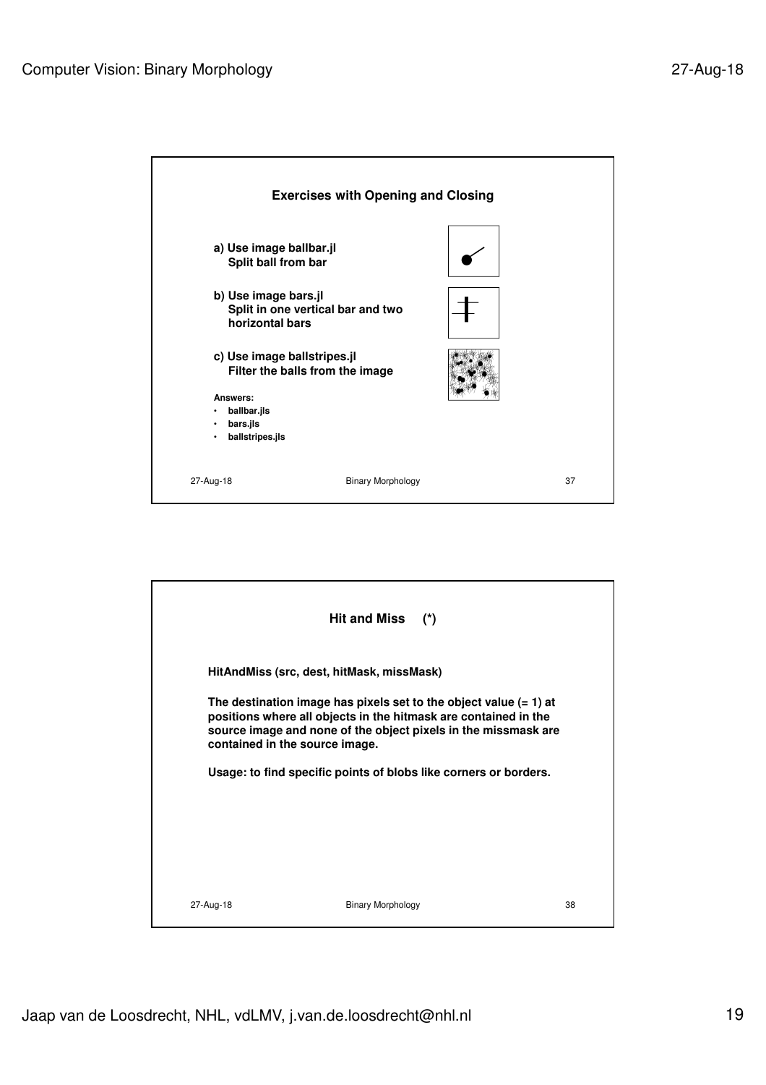

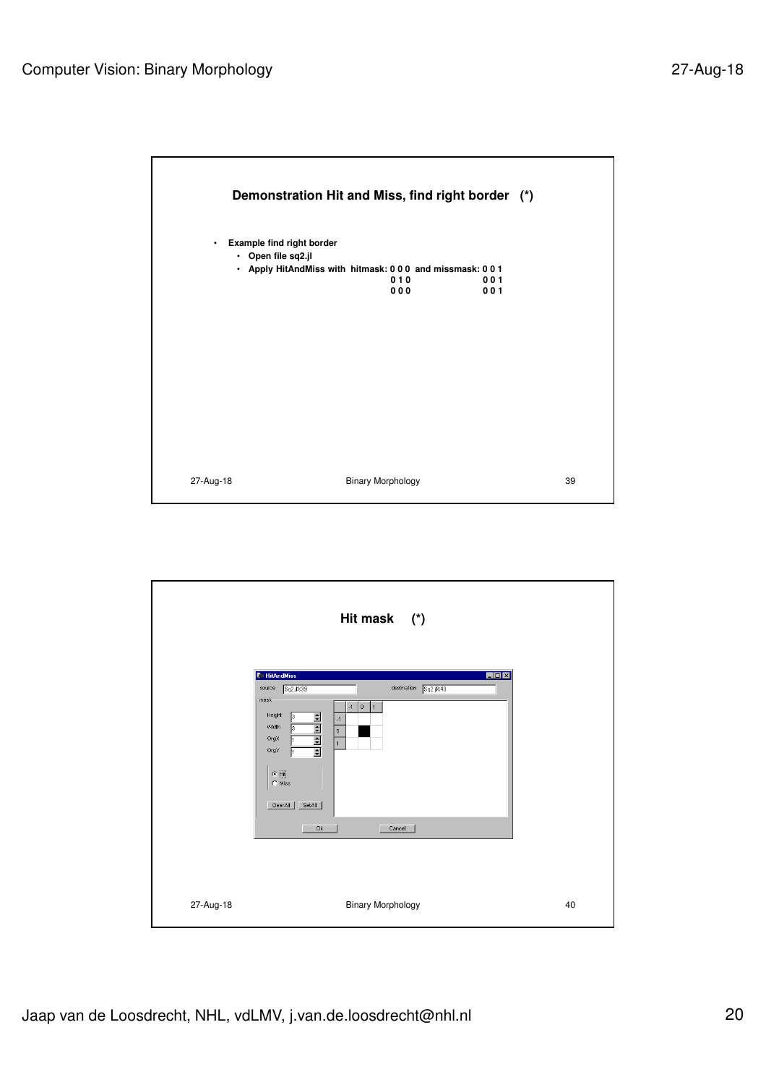

|           | Hit mask (*)                                                                                                                                                                                                                                                                                                                                                  |    |
|-----------|---------------------------------------------------------------------------------------------------------------------------------------------------------------------------------------------------------------------------------------------------------------------------------------------------------------------------------------------------------------|----|
|           | <b>C</b> HitAndMiss<br>$\Box$ D $\Box$<br>destination Sq2.jl%40<br>source<br>Sq2.1%39<br>mask-<br>$-1$<br>$ 0\rangle$<br>1<br>Height<br>$\frac{1}{2}$ $\frac{1}{2}$ $\frac{1}{2}$ $\frac{1}{2}$ $\frac{1}{2}$<br>ß<br>$-1$<br>Width<br>Iз<br>$\mathbf 0$<br>OrgX<br>$\overline{1}$<br>OrgY<br>$\bullet$ Hit<br>$C$ Miss<br>SetAll<br>ClearAll<br>0k<br>Cancel |    |
| 27-Aug-18 | <b>Binary Morphology</b>                                                                                                                                                                                                                                                                                                                                      | 40 |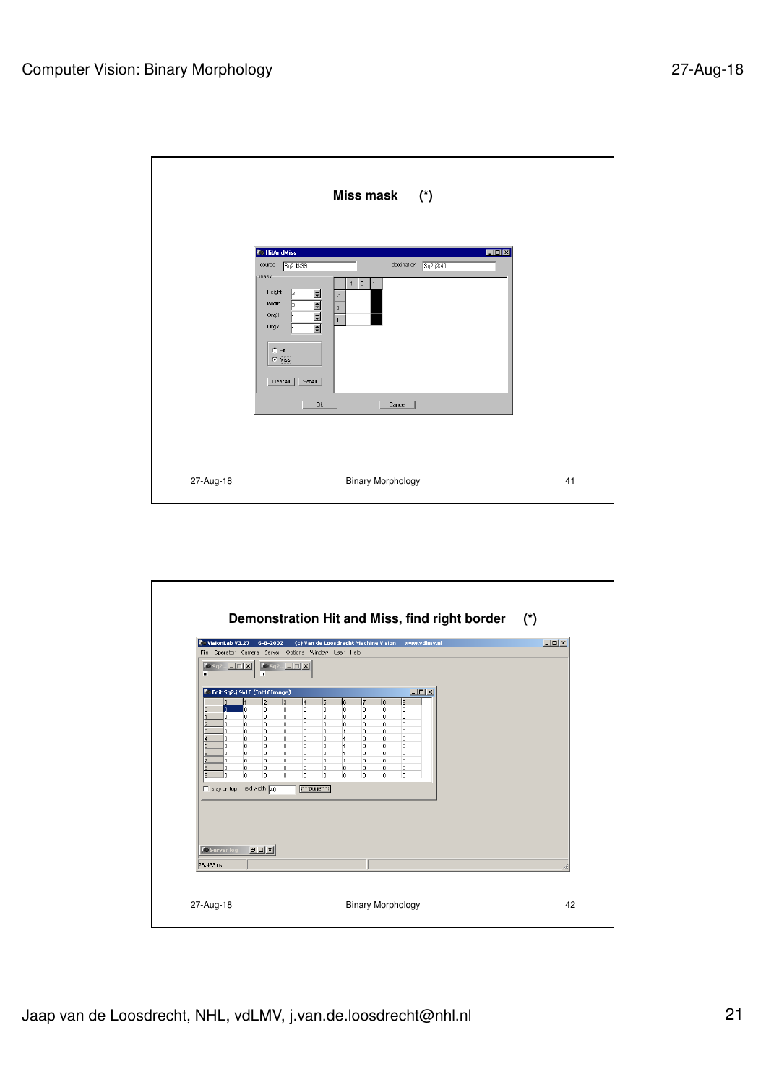|           | Miss mask (*)                                                                                                                                                                                                                                                                                                                                     |    |
|-----------|---------------------------------------------------------------------------------------------------------------------------------------------------------------------------------------------------------------------------------------------------------------------------------------------------------------------------------------------------|----|
|           | <b>C</b> HitAndMiss<br>EOX<br>destination Sq2.jl%40<br>source<br>5q2.1239<br>mask-<br>$-1$<br>0<br>$\mathbf{1}$<br>Height<br>$\frac{1}{2}$ $\frac{1}{2}$ $\frac{1}{2}$ $\frac{1}{2}$ $\frac{1}{2}$<br>lз<br>$-1$<br>Width<br>Б<br>$\mathbf 0$<br>OrgX<br>$\overline{1}$<br>OrgY<br>$C$ Hit<br>$\sigma$ Miss<br>ClearAll<br>SetAll<br>0k<br>Cancel |    |
| 27-Aug-18 | <b>Binary Morphology</b>                                                                                                                                                                                                                                                                                                                          | 41 |

|                                         | VisionLab V3.27<br>$6 - 8 - 2002$<br>File Operator Camera Server Options Window User Help                                                              | (c) Van de Loosdrecht Machine Vision                                                                                                     | www.vdlmv.nl                                               | $\Box$ D $\Box$ |
|-----------------------------------------|--------------------------------------------------------------------------------------------------------------------------------------------------------|------------------------------------------------------------------------------------------------------------------------------------------|------------------------------------------------------------|-----------------|
| Ξ                                       | $\left \cos\left(\cos\left(\frac{\pi}{2}\right)\right)\right $ to $\left \cos\left(\frac{\pi}{2}\right)\right $ x<br>$\mathbf{u}$                      |                                                                                                                                          |                                                            |                 |
| n.<br>n.                                | Edit Sq2.jl%10 (Int16Image)<br>l2<br>lз<br>4<br>$\overline{5}$<br>lo.<br>lo.<br>lo.<br>lo.<br>0                                                        | l6.<br>l7<br>l8.<br>$\overline{0}$<br>o<br>lo.                                                                                           | $  \vert$ $ \vert$ $\times$<br>۱q<br>0                     |                 |
| o<br>n<br>o.<br>a<br>$\Omega$<br>n<br>c | o.<br>o.<br>o<br>0<br>0<br>O.<br>lo.<br>lo.<br>lo.<br>0<br>lo.<br>O.<br>O.<br>0<br>lo.<br>lo.<br>lo.<br>lo.<br>lo.<br>0<br>lo.<br>lo.<br>o.<br>o.<br>0 | o<br>lo.<br>$\circ$<br>lo.<br>$\circ$<br>0<br>o<br>$\circ$<br>$\overline{1}$<br>o<br>lo.<br>$\overline{1}$<br>o<br>lo.<br>$\overline{1}$ | 0<br>0<br>$\overline{0}$<br>$\overline{0}$<br>$\mathbf{0}$ |                 |
| 6<br>n<br>n.<br>n<br>8<br>n<br>o        | lo.<br>lo.<br>lo.<br>0<br>o<br>lo.<br>o.<br>o.<br>o<br>0<br>o.<br>o<br>o<br>0<br>0<br>lo.<br>lo.<br>lo.<br>o.<br>o                                     | o<br>lo.<br>$\overline{1}$<br>lo.<br>0<br>$\overline{1}$<br>0<br>o.<br>0<br>0<br>0<br>o.                                                 | o<br>o.<br>0<br>o                                          |                 |
| stay on top field width 40              | $\square$ Done $\square$                                                                                                                               |                                                                                                                                          |                                                            |                 |
|                                         |                                                                                                                                                        |                                                                                                                                          |                                                            |                 |
| <b>Ze Server log</b>                    | <b>DOX</b>                                                                                                                                             |                                                                                                                                          |                                                            |                 |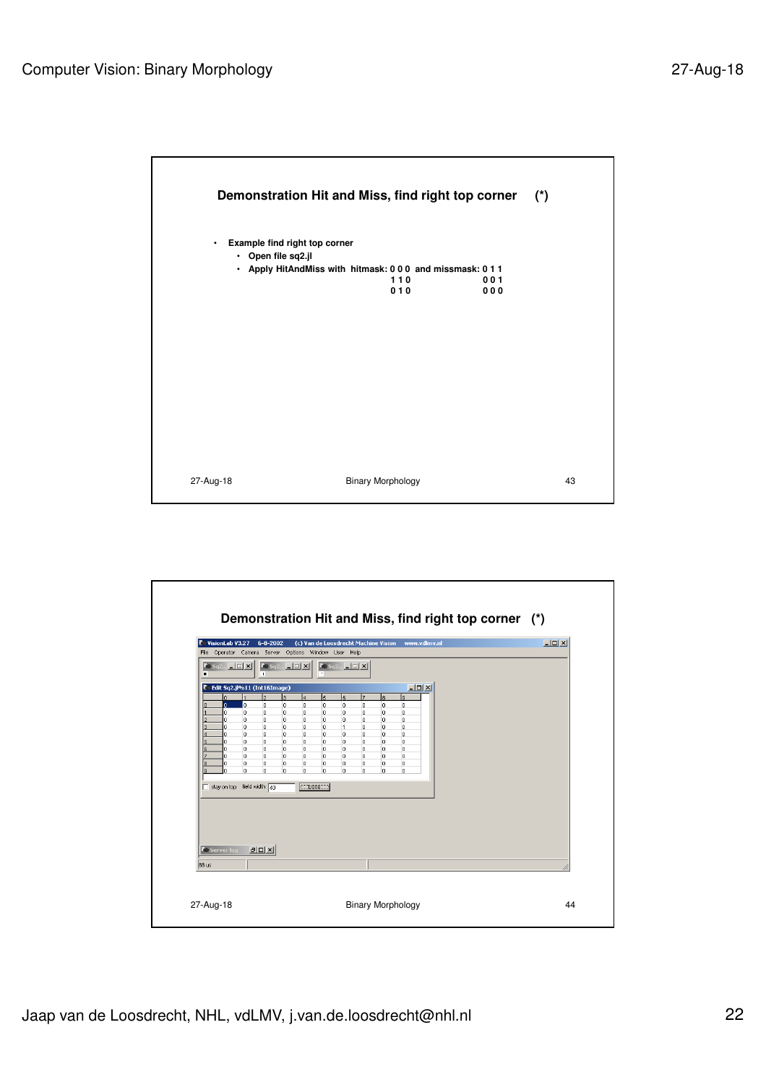

| VisionLab V3.27<br>$\left  \mathbf{X} \bullet \mathbf{S} \mathbf{q} \right $ $\left  \mathbf{I} \right $ $\left  \mathbf{X} \right $ | $6 - 8 - 2002$<br>File Operator Camera Server Options Window User Help<br>$\boxed{\mathbf{C}$ Sq2 $\boxed{\Box}$ $\boxed{\mathbf{X}}$                                                                                                                        | (c) Van de Loosdrecht Machine Vision www.vdlmv.nl<br>$G = 5q2$ $\boxed{1}$ $\boxed{X}$                                                                                                                                                     |                                                                                                                                                            | $\Box$ D $\bm{x}$ |
|--------------------------------------------------------------------------------------------------------------------------------------|--------------------------------------------------------------------------------------------------------------------------------------------------------------------------------------------------------------------------------------------------------------|--------------------------------------------------------------------------------------------------------------------------------------------------------------------------------------------------------------------------------------------|------------------------------------------------------------------------------------------------------------------------------------------------------------|-------------------|
| $\blacksquare$                                                                                                                       | m.                                                                                                                                                                                                                                                           |                                                                                                                                                                                                                                            |                                                                                                                                                            |                   |
| $\overline{0}$<br>$\Omega$<br>ň.<br>n.<br>n.<br>ň.<br>5<br>n.<br>o<br>6<br>7<br>ň.<br>o<br>8<br>9<br>n<br>stay on top field width 40 | $\overline{2}$<br>la.<br>14<br>$\mathbf 0$<br>o<br>o<br>o<br>o<br>o<br>0<br>lo.<br>o<br>o<br>0<br>0<br>0<br>o<br>o<br>ю.<br>lo.<br>0<br>o<br>o<br>o<br>o<br>lo.<br>o<br>o.<br>o<br>o<br>o.<br>o<br>lo.<br>lo.<br>o<br>o.<br>o<br>o<br>o<br>o<br>o.<br>o<br>o | 17<br>5<br>l6<br>0<br>0<br>0<br>0<br>$\overline{0}$<br>o<br>0<br>0<br>0<br>0<br>$\overline{1}$<br>0<br>0<br>o<br>o<br>0<br>o<br>0<br>$\mathbf{0}$<br>o<br>o<br>o<br>$\circ$<br>0<br>o<br>o<br>$\circ$<br>o<br>0<br>o<br>$\Box$ Done $\Box$ | lв<br>lя<br>lo.<br>l0<br>o<br>lo.<br>$\circ$<br>l0<br>lo.<br>lo.<br>$\circ$<br>$\circ$<br>lo.<br>lo.<br>lo.<br>lo.<br>lo.<br>lo.<br>lo.<br>lo.<br>lo.<br>o |                   |
| <b>Co Server log</b><br>88 us                                                                                                        | <sub>FDIX</sub>                                                                                                                                                                                                                                              |                                                                                                                                                                                                                                            |                                                                                                                                                            |                   |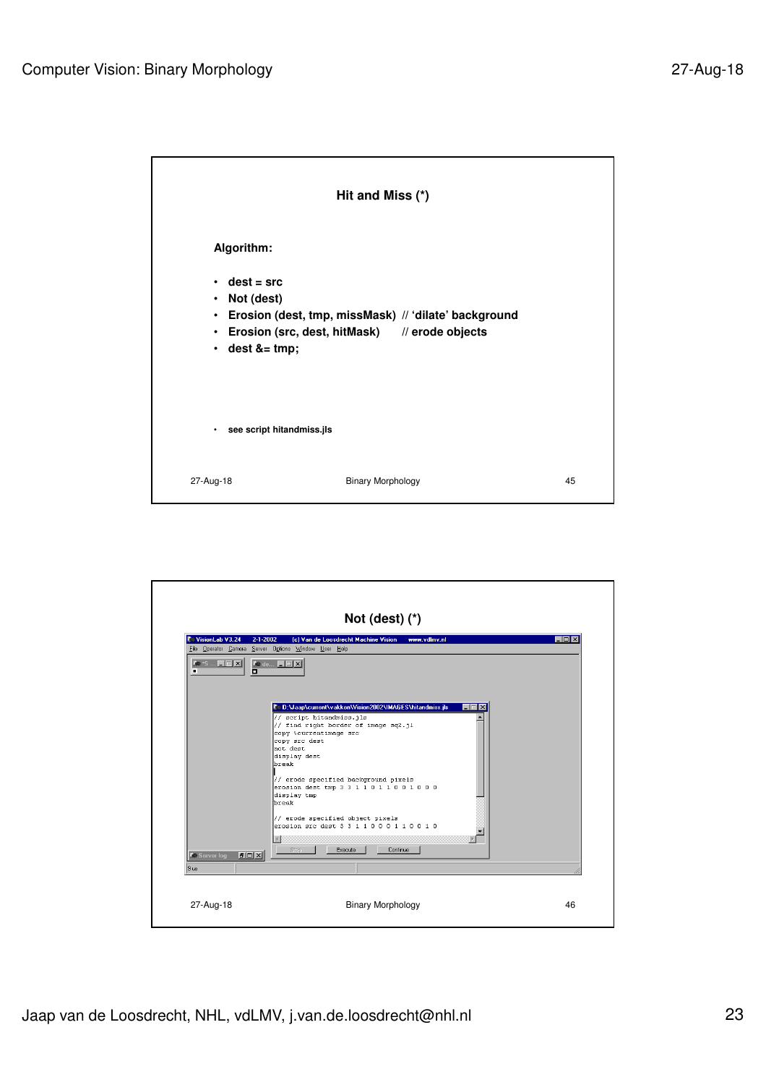|                                                                                                 | Hit and Miss (*)                                                                                      |    |
|-------------------------------------------------------------------------------------------------|-------------------------------------------------------------------------------------------------------|----|
| Algorithm:                                                                                      |                                                                                                       |    |
| $\cdot$ dest = src<br>Not (dest)<br>$\bullet$<br>$\bullet$<br>$\bullet$<br>$\cdot$ dest &= tmp; | Erosion (dest, tmp, missMask) // 'dilate' background<br>Erosion (src, dest, hitMask) // erode objects |    |
| see script hitandmiss.jls                                                                       |                                                                                                       |    |
| 27-Aug-18                                                                                       | <b>Binary Morphology</b>                                                                              | 45 |

| VisionLab V3.24                                                                                                  | $2 - 1 - 2002$<br>(c) Van de Loosdrecht Machine Vision<br>www.ydlmv.nl<br>File Operator Camera Server Options Window User Help                                                                                                                                                                                                                                                                                                                             | <b>HOIX</b> |
|------------------------------------------------------------------------------------------------------------------|------------------------------------------------------------------------------------------------------------------------------------------------------------------------------------------------------------------------------------------------------------------------------------------------------------------------------------------------------------------------------------------------------------------------------------------------------------|-------------|
| $\left  \bullet \right\rangle$ is $\left  \cdot \right $ $\left  \cdot \right $ $\left  \cdot \right $<br>п<br>o | $\blacksquare$ de $\blacksquare$ $\blacksquare$ $\blacksquare$ $\blacksquare$                                                                                                                                                                                                                                                                                                                                                                              |             |
| <b>PDX</b><br><b>C</b> Server log<br>9 us                                                                        | © D:\Jaap\current\vakken\Vision2002\IMAGES\hitandmiss.jls<br>$-1$<br>// script hitandmiss.jls<br>// find right border of image sq2.jl<br>copy %currentimage src<br>copy src dest<br>not dest<br>display dest<br>break<br>// erode specified background pixels<br>erosion dest tmp 3 3 1 1 0 1 1 0 0 1 0 0 0<br>display tmp<br>break<br>// erode specified object pixels<br>erosion src dest 3 3 1 1 0 0 0 1 1 0 0 1 0<br>D.<br>Continue<br>Stop<br>Execute |             |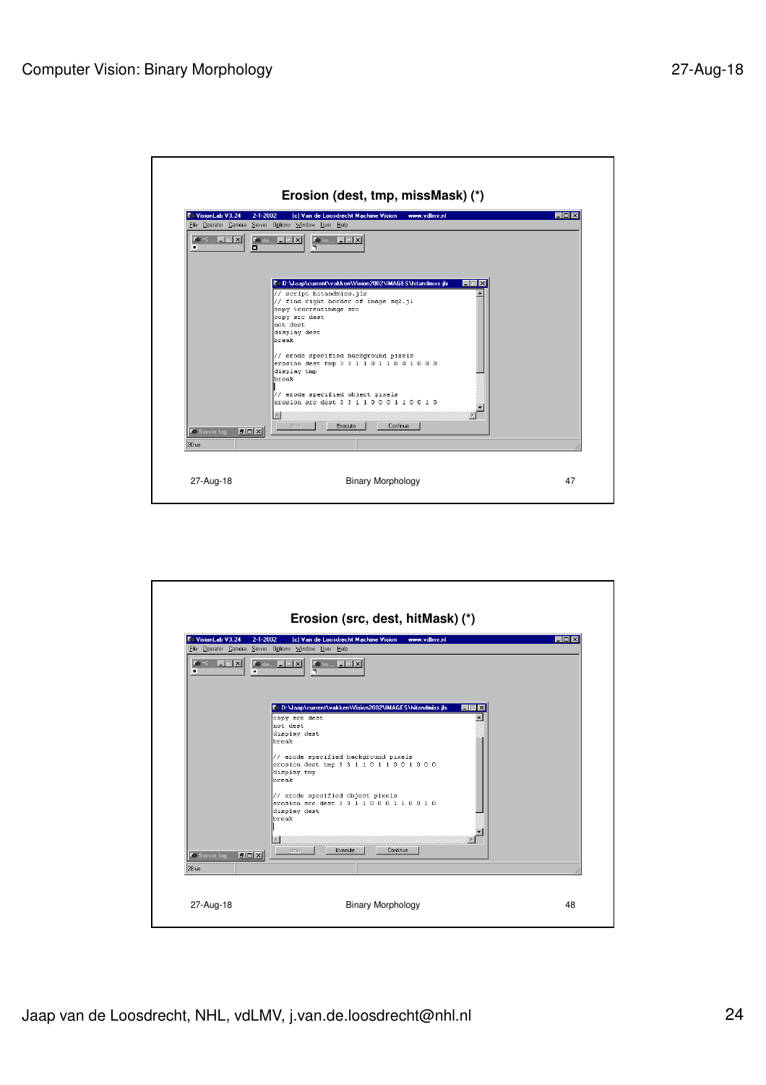|                                                                                                                    | (c) Van de Loosdrecht Machine Vision<br>$2 - 1 - 2002$<br>www.vdlmv.nl<br>File Operator Camera Server Options Window User Help                                                                                                                                                                                                                                                                                                                       | $ \Box$ $\times$ |
|--------------------------------------------------------------------------------------------------------------------|------------------------------------------------------------------------------------------------------------------------------------------------------------------------------------------------------------------------------------------------------------------------------------------------------------------------------------------------------------------------------------------------------------------------------------------------------|------------------|
| $\left  \mathbf{X} \right $ and $\left  \mathbf{X} \right $ and $\left  \mathbf{X} \right $<br>o<br>$\blacksquare$ | <b>To de EDE</b><br><b>Cetm LEX</b><br>٦                                                                                                                                                                                                                                                                                                                                                                                                             |                  |
| $P$ $ D $ $X$<br><b>C</b> Server log<br>$30$ us                                                                    | © D:\Jaap\current\vakken\Vision2002\IMAGES\hitandmiss.jls<br>// script hitandmiss.jls<br>// find right border of image sq2.jl<br>copy %currentimage src<br>copy src dest<br>Inot dest<br>display dest<br>lbreak<br>// erode specified background pixels<br>erosion dest tmp 3 3 1 1 0 1 1 0 0 1 0 0 0<br>display tmp<br>break<br>// erode specified object pixels<br>erosion src dest 3 3 1 1 0 0 0 1 1 0 0 1 0<br>D.<br>Continue<br>Stop<br>Execute |                  |

| VisionLab V3.24                                                                                             | $2 - 1 - 2002$<br>(c) Van de Loosdrecht Machine Vision<br>www.ydlmv.nl<br>File Operator Camera Server Options Window User Help | EOX |
|-------------------------------------------------------------------------------------------------------------|--------------------------------------------------------------------------------------------------------------------------------|-----|
| $\left  \bullet \right\rangle$ is $\left  \cdot \right $ $\left  \cdot \right $ $\left  \cdot \right $<br>п | $\blacksquare$ de $\blacksquare$ $\blacksquare$ $\blacksquare$ $\blacksquare$<br><b>Collinion E E X</b><br>Ŧ<br>╗              |     |
|                                                                                                             | CoD:\Jaap\current\vakken\Vision2002\IMAGES\hitandmiss.jls<br><b>x</b><br>copy src dest<br>Inot dest<br>display dest<br>break   |     |
|                                                                                                             | // erode specified background pixels<br>erosion dest tmp 3 3 1 1 0 1 1 0 0 1 0 0 0<br>display tmp<br>lbreak                    |     |
|                                                                                                             | // erode specified object pixels<br>erosion src dest 3 3 1 1 0 0 0 1 1 0 0 1 0<br>display dest<br>break                        |     |
| <b>DOX</b><br><b>C</b> e Server log                                                                         | $\vert$<br>Continue<br>Stop<br>Execute                                                                                         |     |
| 28 us                                                                                                       |                                                                                                                                |     |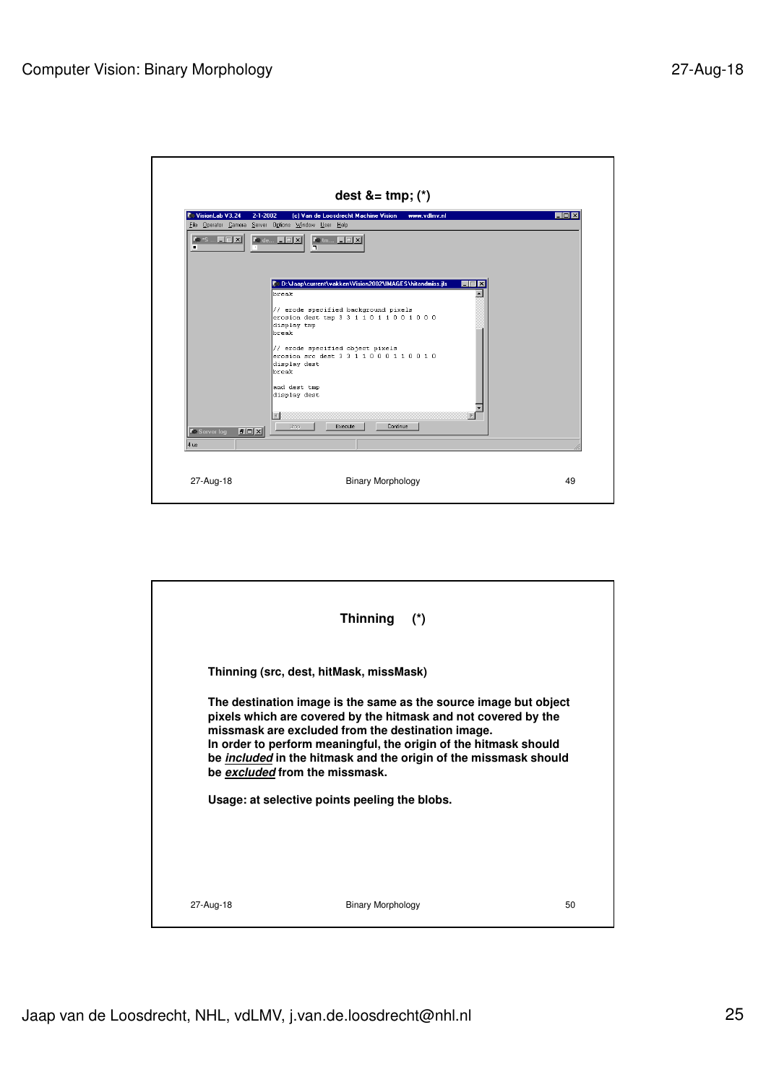| VisionLab V3.24                             | (c) Van de Loosdrecht Machine Vision<br>$2 - 1 - 2002$<br>www.vdlmv.nl<br>File Operator Camera Server Options Window User Help                                                                                                                                                                                                                                    | <b>HOIX</b> |
|---------------------------------------------|-------------------------------------------------------------------------------------------------------------------------------------------------------------------------------------------------------------------------------------------------------------------------------------------------------------------------------------------------------------------|-------------|
| <b>Ke</b> *S <b>FIELX</b><br>п              | $\blacksquare$ de $\blacksquare$ $\blacksquare$ $\blacksquare$ $\blacksquare$<br><b>Ketm EEK</b><br>╗                                                                                                                                                                                                                                                             |             |
| <b>PDX</b><br><b>C</b> e Server log<br>4 us | © D:\Jaap\current\vakken\Vision2002\IMAGES\hitandmiss.jls<br>break<br>// erode specified background pixels<br>erosion dest tmp 3 3 1 1 0 1 1 0 0 1 0 0 0<br>display tmp<br>Inreak<br>// erode specified object pixels<br>erosion src dest 3 3 1 1 0 0 0 1 1 0 0 1 0<br>display dest<br>break<br>and dest tmp<br>display dest<br>D.<br>Stop<br>Continue<br>Execute |             |

|           | <b>Thinning</b><br>$(\star)$                                                                                                                                                                                                                                                                                                                                             |    |
|-----------|--------------------------------------------------------------------------------------------------------------------------------------------------------------------------------------------------------------------------------------------------------------------------------------------------------------------------------------------------------------------------|----|
|           | Thinning (src, dest, hitMask, missMask)                                                                                                                                                                                                                                                                                                                                  |    |
|           | The destination image is the same as the source image but object<br>pixels which are covered by the hitmask and not covered by the<br>missmask are excluded from the destination image.<br>In order to perform meaningful, the origin of the hitmask should<br>be <i>included</i> in the hitmask and the origin of the missmask should<br>be excluded from the missmask. |    |
|           | Usage: at selective points peeling the blobs.                                                                                                                                                                                                                                                                                                                            |    |
|           |                                                                                                                                                                                                                                                                                                                                                                          |    |
| 27-Aug-18 | <b>Binary Morphology</b>                                                                                                                                                                                                                                                                                                                                                 | 50 |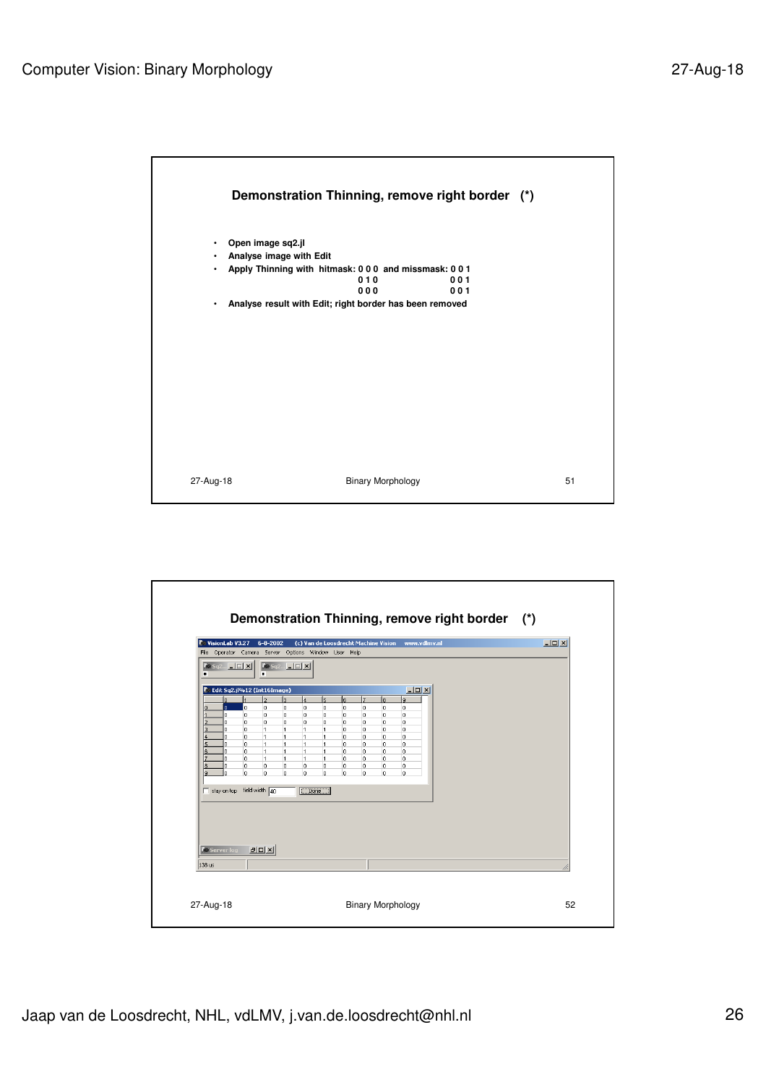

| VisionLab V3.27                                        | $6 - 8 - 2002$<br>File Operator Camera Server Options Window User Help                                                           |                                                         | (c) Van de Loosdrecht Machine Vision www.vdlmv.nl     | $\Box$ D $\Box$ |
|--------------------------------------------------------|----------------------------------------------------------------------------------------------------------------------------------|---------------------------------------------------------|-------------------------------------------------------|-----------------|
| $\log_{10}[E_{\rm H}E_{\rm H}]$<br>п                   | $\bigcirc$ Sq2 $\bigcirc$ $\bigcirc$ $\bigcirc$ $\times$<br>п                                                                    |                                                         |                                                       |                 |
| n.                                                     | <b>Edit Sq2.jl%12 (Int16Image)</b><br>l2.<br>la.<br>$\overline{4}$                                                               | l6.<br>17<br>$\overline{5}$                             | $-10x$<br>lз<br><b>q</b>                              |                 |
| n.<br>ň.                                               | lo.<br>lo.<br>o<br>lo.<br>lo.<br>O<br>0<br>o.                                                                                    | $\overline{0}$<br>0<br>lo.<br>0<br>0<br>$\circ$         | o<br>$\overline{0}$<br>$\mathbf{0}$<br>$\overline{0}$ |                 |
| G<br>n.<br>n.                                          | o.<br>lo.<br>O.<br>o<br>lo.<br>$\overline{1}$<br>$\overline{1}$<br>$\overline{1}$<br>$\overline{1}$<br>o.<br>1<br>$\overline{1}$ | o<br>o<br>$\circ$<br>o<br>$\mathbf{1}$<br>lo.<br>1<br>0 | o<br>0<br>$\overline{0}$<br>o<br>0<br>0               |                 |
| ň<br>n.<br>Ι6                                          | o.<br>$\overline{1}$<br>$\overline{1}$<br>$\overline{1}$<br>0<br>$\vert$ 1<br>$\overline{1}$<br>$\overline{1}$                   | 0<br>1<br>lo.<br>$\circ$<br>0<br>1<br>0                 | $\circ$<br>$\circ$<br>lo.<br>0                        |                 |
| ń.<br>o<br>l8                                          | o<br>$\vert$ 1<br>$\mathbf{1}$<br>11.<br>0<br>o<br>o<br>0                                                                        | $\mathbf{1}$<br>lo.<br>0<br>0<br>l0.<br>0               | 0<br>o<br>o<br>0                                      |                 |
| l٩<br>ň<br>$\Box$ stay on top field width $\boxed{40}$ | o.<br>o<br>$\mathbf{0}$<br>o.                                                                                                    | o<br>$\mathbf{0}$<br>lo.                                | 0<br>o                                                |                 |
|                                                        |                                                                                                                                  |                                                         |                                                       |                 |
|                                                        |                                                                                                                                  |                                                         |                                                       |                 |
|                                                        |                                                                                                                                  |                                                         |                                                       |                 |
| <b>Co Server log</b>                                   | $P$ $ D $ $X$                                                                                                                    |                                                         |                                                       |                 |
| 138 us                                                 |                                                                                                                                  |                                                         |                                                       | n               |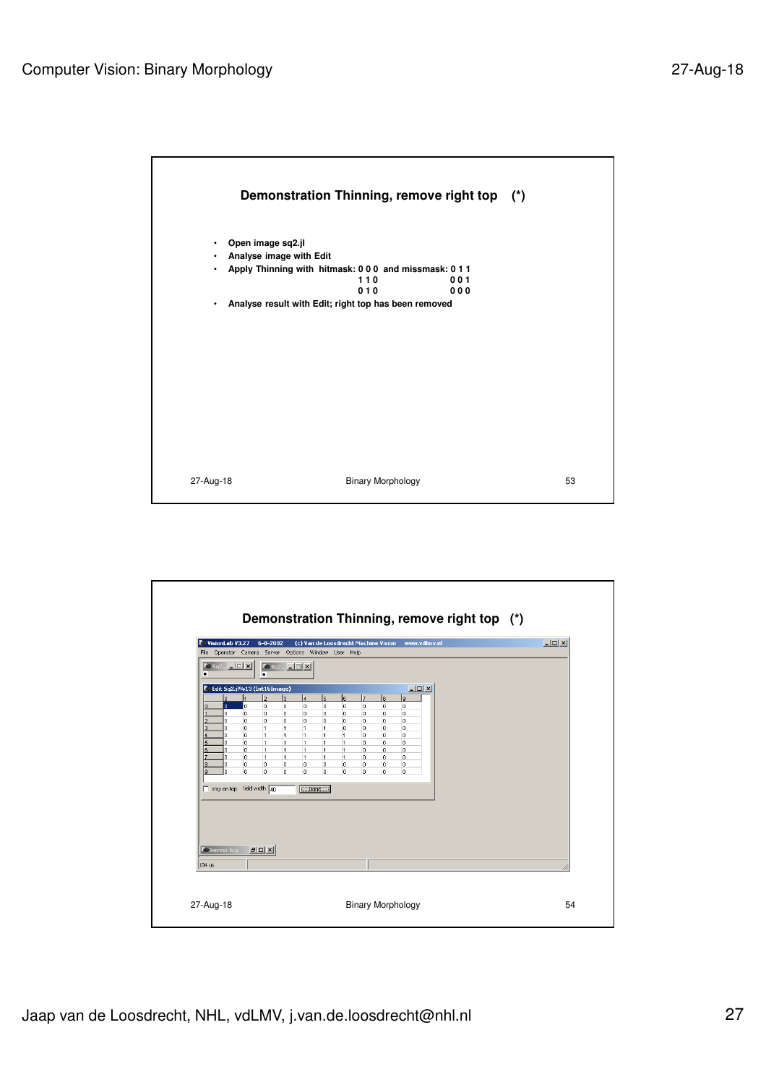

| ٠<br>$-10x$<br>C Edit Sq2.jl%13 (Int16Image)<br>$\overline{2}$<br>$\overline{\mathbf{a}}$<br>$\overline{5}$<br>17<br>l6.<br>l8.<br>۱q<br>$\overline{\bf{4}}$<br>lo.<br>o.<br>o<br>o<br>lo.<br>o<br>o<br>$\overline{0}$<br>lo.                                                                                                                                                                                                                                                                                                                                                                                                                                                                                                                                                                                                    |
|----------------------------------------------------------------------------------------------------------------------------------------------------------------------------------------------------------------------------------------------------------------------------------------------------------------------------------------------------------------------------------------------------------------------------------------------------------------------------------------------------------------------------------------------------------------------------------------------------------------------------------------------------------------------------------------------------------------------------------------------------------------------------------------------------------------------------------|
| O<br>o<br>0<br>o<br>$\circ$<br>$\circ$<br>o.<br>O.<br>0<br>o.<br>O<br>lo.<br>o<br>o<br>lo.<br>0<br>$\circ$<br>$\overline{0}$<br>o.<br>$\mathbf{1}$<br>$\overline{1}$<br>lo.<br>0<br>$\circ$<br>0<br>$\overline{1}$<br>$\overline{1}$<br>lo.<br>$\overline{1}$<br>$\overline{1}$<br>1<br>$\overline{1}$<br>0<br>$\circ$<br>$\overline{0}$<br>$\overline{1}$<br>o.<br>O.<br>o<br>$\overline{1}$<br>11.<br>$\mathbf{1}$<br>$\overline{1}$<br>$\overline{1}$<br>0<br>$\overline{1}$<br>0<br>o.<br>$\circ$<br>0<br>11.<br>$\mathbf{1}$<br>$\overline{1}$<br>$\overline{1}$<br>lo.<br>$\overline{1}$<br>$\overline{1}$<br>$\mathbf{1}$<br>$\overline{1}$<br>0<br>o.<br>o<br>$\overline{1}$<br>lo.<br>o.<br>o.<br>o<br>o<br>o<br>o<br>O<br>0<br>lo.<br>$\mathbf{0}$<br>o<br>0<br>0<br>o<br>o.<br>0<br>lo.<br>stay on top field width 40 |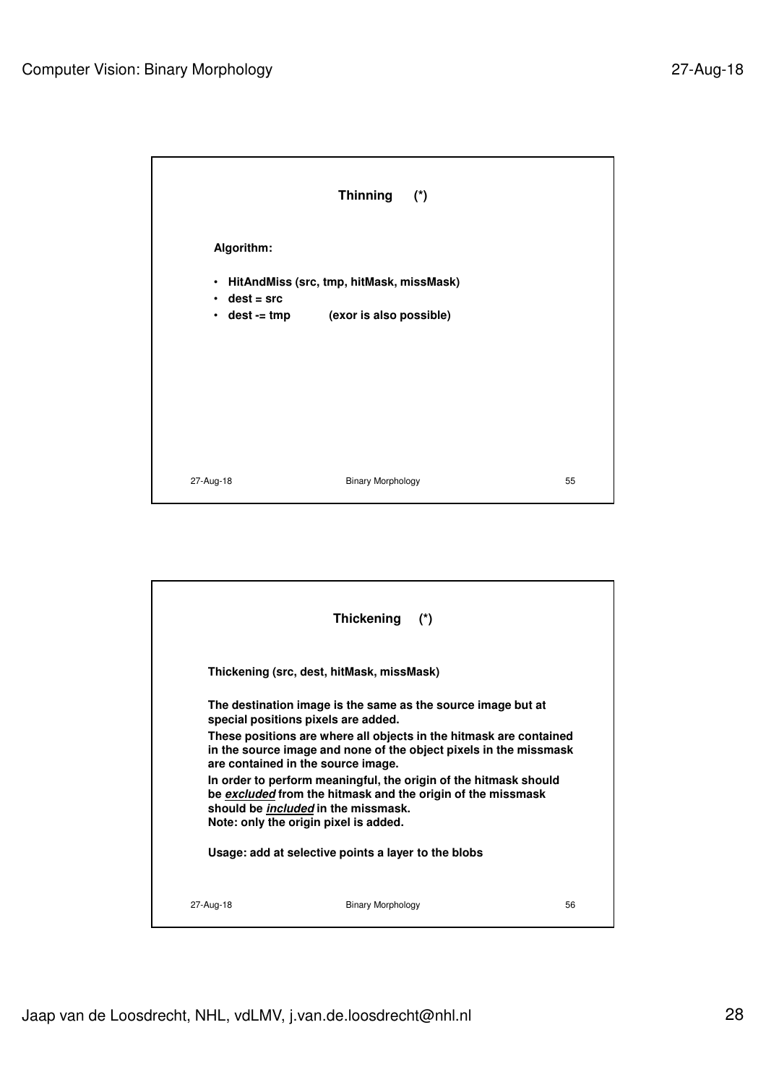|                    | Thinning (*)                                                                        |    |
|--------------------|-------------------------------------------------------------------------------------|----|
| Algorithm:         |                                                                                     |    |
| $\cdot$ dest = src | • HitAndMiss (src, tmp, hitMask, missMask)<br>• dest -= tmp (exor is also possible) |    |
| 27-Aug-18          | <b>Binary Morphology</b>                                                            | 55 |

|           | Thickening                                                                          | $(\star)$                                                                                                                               |    |
|-----------|-------------------------------------------------------------------------------------|-----------------------------------------------------------------------------------------------------------------------------------------|----|
|           | Thickening (src. dest. hitMask. missMask)                                           |                                                                                                                                         |    |
|           | special positions pixels are added.                                                 | The destination image is the same as the source image but at                                                                            |    |
|           | are contained in the source image.                                                  | These positions are where all objects in the hitmask are contained<br>in the source image and none of the object pixels in the missmask |    |
|           | should be <i>included</i> in the missmask.<br>Note: only the origin pixel is added. | In order to perform meaningful, the origin of the hitmask should<br>be excluded from the hitmask and the origin of the missmask         |    |
|           | Usage: add at selective points a layer to the blobs                                 |                                                                                                                                         |    |
| 27-Aug-18 | <b>Binary Morphology</b>                                                            |                                                                                                                                         | 56 |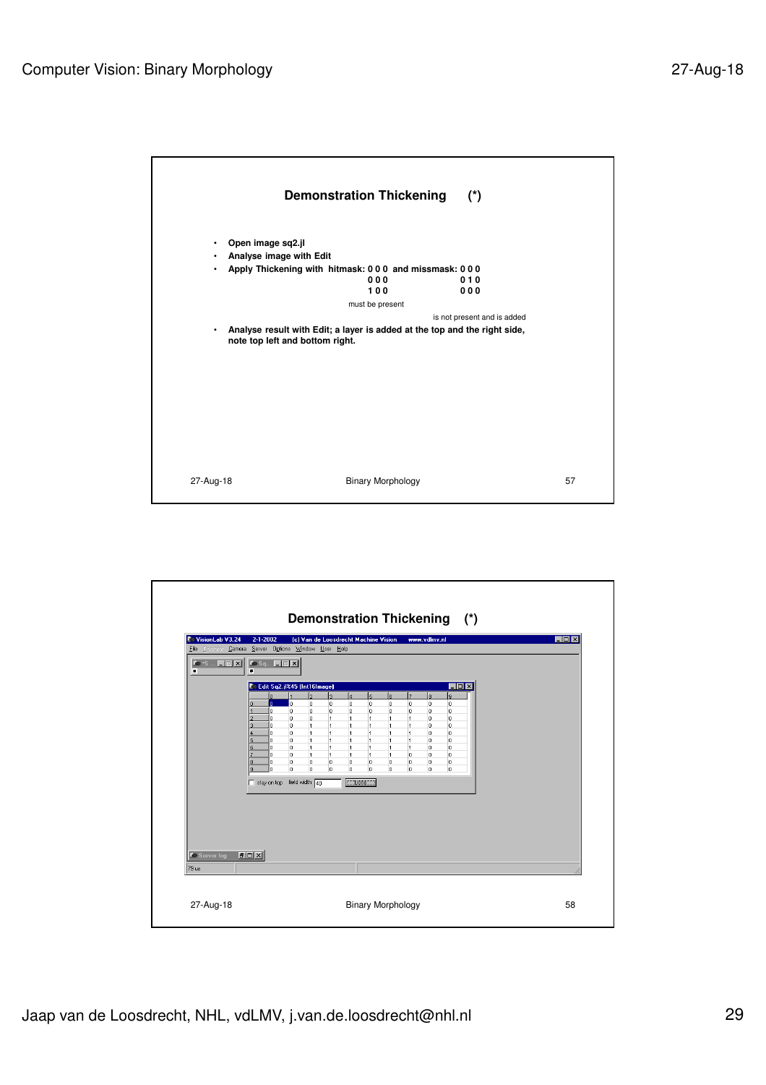

| VisionLab V3.24<br>File Operator Camera Server Options Window User Help | $2 - 1 - 2002$                                                                                                                     |                                                                                                                                                                                                                                                                 | (c) Van de Loosdrecht Machine Vision                                                                                                                                                                                                                                                                                                           | www.vdlmv.nl                                                                                                                                                                                                                                                                                          | FOX                   |
|-------------------------------------------------------------------------|------------------------------------------------------------------------------------------------------------------------------------|-----------------------------------------------------------------------------------------------------------------------------------------------------------------------------------------------------------------------------------------------------------------|------------------------------------------------------------------------------------------------------------------------------------------------------------------------------------------------------------------------------------------------------------------------------------------------------------------------------------------------|-------------------------------------------------------------------------------------------------------------------------------------------------------------------------------------------------------------------------------------------------------------------------------------------------------|-----------------------|
| <b>Ke</b> *S <b> [E] X</b><br>п                                         | $X \circ S q$ $\boxed{\Box} \boxed{X}$<br>$\blacksquare$                                                                           |                                                                                                                                                                                                                                                                 |                                                                                                                                                                                                                                                                                                                                                |                                                                                                                                                                                                                                                                                                       |                       |
|                                                                         |                                                                                                                                    | Edit Sq2.jl%45 (Int16Image)                                                                                                                                                                                                                                     |                                                                                                                                                                                                                                                                                                                                                |                                                                                                                                                                                                                                                                                                       | $\Box$ D $\mathbf{X}$ |
|                                                                         | lo.<br>lo.<br>$\mathbf{0}$<br>o<br>o<br>lo.<br>o<br>o<br>o.<br>0<br>n.<br>lo.<br>n<br>O.<br>'n<br>ĥ<br>o<br>o<br>o<br>o<br>O.<br>o | $\overline{2}$<br><sub>3</sub><br>o<br>o<br>0<br>0<br>0<br>$\overline{1}$<br>$\overline{1}$<br>$\overline{1}$<br>$\overline{1}$<br>$\mathbf{1}$<br>$\overline{1}$<br>$\overline{1}$<br>$\overline{1}$<br>$\mathbf{1}$<br>$\mathbf{1}$<br>1<br>0<br>0<br>o.<br>0 | l4<br>5<br><b>R</b><br>$\mathbf{0}$<br>o<br>$\mathbf{0}$<br>0<br>0<br>0<br>$\overline{1}$<br>1<br>1<br>$\overline{1}$<br>1<br>1<br>$\overline{1}$<br>$\overline{1}$<br>$\overline{1}$<br>1<br>$\overline{1}$<br>$\overline{1}$<br>1<br>$\overline{1}$<br>$\overline{1}$<br>$\overline{1}$<br>$\overline{1}$<br>1<br>0<br>0<br>0<br>0<br>0<br>0 | l8<br>l9.<br>7<br>$\mathbf{0}$<br>o<br>$\overline{0}$<br>0<br>0<br>$\circ$<br>$\overline{1}$<br>$\circ$<br>o<br>O.<br>$\overline{1}$<br>o<br>$\overline{1}$<br>0<br>$\overline{0}$<br>1<br>o<br>$\circ$<br>$\ddot{\phantom{1}}$<br>o<br>lo.<br>o<br>o<br>$\theta$<br>o<br>0<br>0<br>o<br>o<br>$\circ$ |                       |
| <b>C</b> Server log<br>79 us                                            | stay on top field width 40<br><b>PDX</b>                                                                                           |                                                                                                                                                                                                                                                                 | <b>Done</b>                                                                                                                                                                                                                                                                                                                                    |                                                                                                                                                                                                                                                                                                       |                       |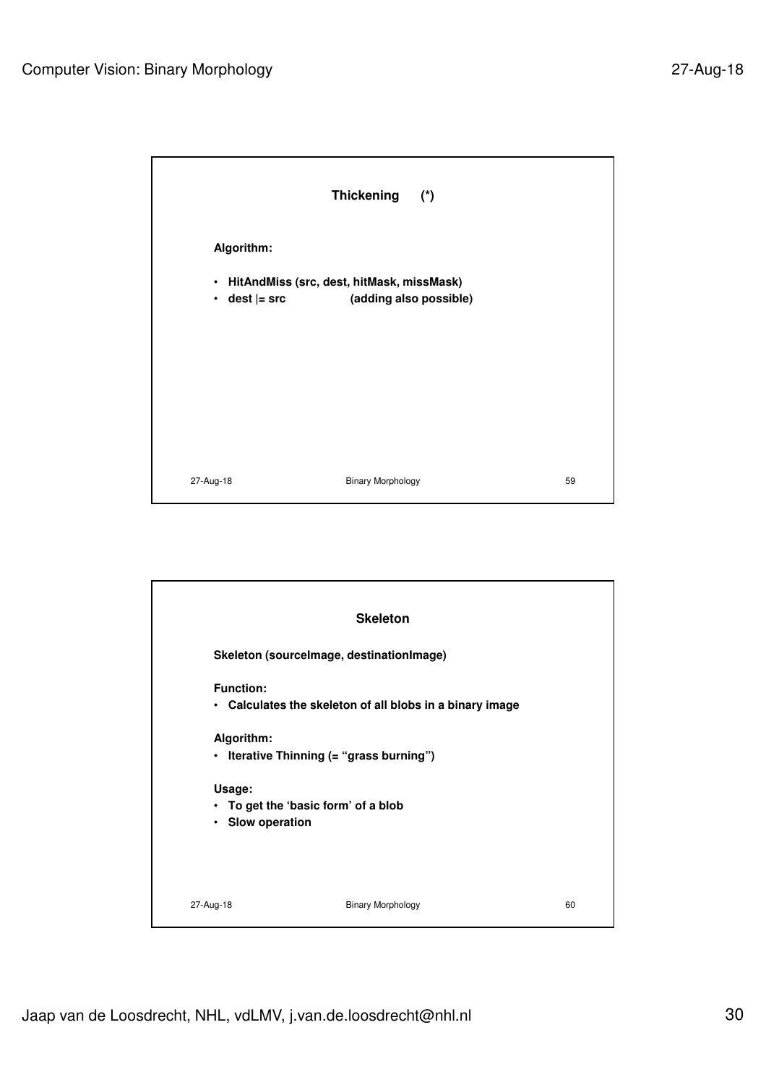|            | Thickening (*)                              |    |
|------------|---------------------------------------------|----|
| Algorithm: |                                             |    |
|            | · HitAndMiss (src, dest, hitMask, missMask) |    |
| $\bullet$  | dest  = src (adding also possible)          |    |
|            |                                             |    |
|            |                                             |    |
|            |                                             |    |
|            |                                             |    |
|            |                                             |    |
|            |                                             |    |
| 27-Aug-18  | <b>Binary Morphology</b>                    | 59 |

|                                                                   | <b>Skeleton</b>                                          |    |
|-------------------------------------------------------------------|----------------------------------------------------------|----|
| Skeleton (sourcelmage, destinationImage)                          |                                                          |    |
| <b>Function:</b>                                                  | • Calculates the skeleton of all blobs in a binary image |    |
| Algorithm:<br>• Iterative Thinning (= "grass burning")            |                                                          |    |
| Usage:<br>• To get the 'basic form' of a blob<br>• Slow operation |                                                          |    |
| 27-Aug-18                                                         | <b>Binary Morphology</b>                                 | 60 |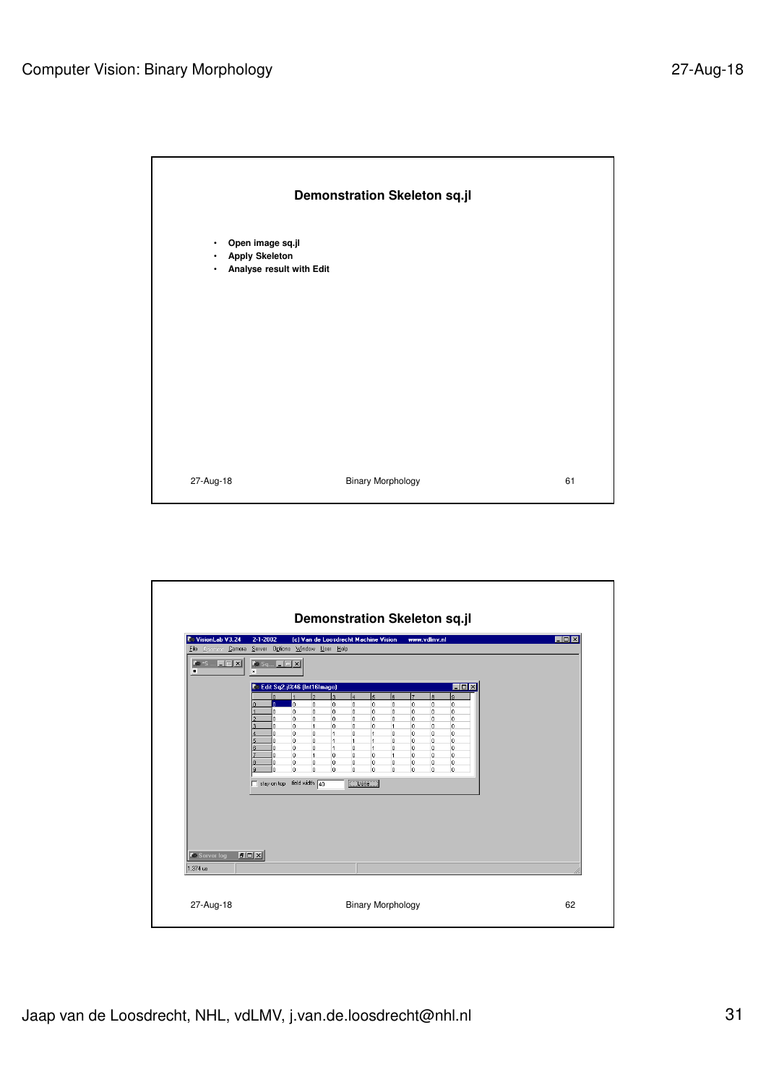

| VisionLab V3.24                     | $2 - 1 - 2002$<br>File Operator Camera Server Options Window User Help                                                                                                                                                                                                                                                                                                                                                                                                                             | (c) Van de Loosdrecht Machine Vision                 |                                | www.vdlmv.nl                                      |                | EOX |
|-------------------------------------|----------------------------------------------------------------------------------------------------------------------------------------------------------------------------------------------------------------------------------------------------------------------------------------------------------------------------------------------------------------------------------------------------------------------------------------------------------------------------------------------------|------------------------------------------------------|--------------------------------|---------------------------------------------------|----------------|-----|
| $X\otimes S$ $\Box$ $\Box$ $X$<br>п | $\overline{\phantom{a}}$ for $S_q$ $\overline{\phantom{a}}$ $\overline{\phantom{a}}$ $\overline{\phantom{a}}$ $\overline{\phantom{a}}$ $\overline{\phantom{a}}$ $\overline{\phantom{a}}$ $\overline{\phantom{a}}$ $\overline{\phantom{a}}$ $\overline{\phantom{a}}$ $\overline{\phantom{a}}$ $\overline{\phantom{a}}$ $\overline{\phantom{a}}$ $\overline{\phantom{a}}$ $\overline{\phantom{a}}$ $\overline{\phantom{a}}$ $\overline{\phantom{a}}$ $\overline{\phantom$<br>$\overline{\mathbf{x}}$ |                                                      |                                |                                                   |                |     |
|                                     | Edit Sq2.jl%46 (Int16Image)                                                                                                                                                                                                                                                                                                                                                                                                                                                                        |                                                      |                                |                                                   | H <sub>2</sub> |     |
|                                     | $\overline{0}$                                                                                                                                                                                                                                                                                                                                                                                                                                                                                     | $\overline{2}$<br>lз<br>14                           | $\overline{\mathbf{5}}$<br>l6. | 17<br>ls.                                         | l9.            |     |
|                                     | I٥<br>n.<br>0<br>ñ                                                                                                                                                                                                                                                                                                                                                                                                                                                                                 | 0<br>o<br>0<br>0<br>0<br>0                           | 0<br>$\circ$<br>0<br>$\circ$   | l0<br>$\overline{0}$<br>$\circ$<br>$\overline{0}$ | l0<br>$\circ$  |     |
|                                     | 0                                                                                                                                                                                                                                                                                                                                                                                                                                                                                                  | 0<br>0<br>0                                          | $\mathbf{0}$<br>$\circ$        | o<br>l0                                           | o              |     |
|                                     | o<br>O.<br>o                                                                                                                                                                                                                                                                                                                                                                                                                                                                                       | $\overline{1}$<br>o<br>0<br>o<br>0<br>1              | o<br>1<br>1<br>0               | lo.<br>$\mathbf 0$<br>$\circ$<br>o                | lo.<br>o       |     |
|                                     | o.<br>U.                                                                                                                                                                                                                                                                                                                                                                                                                                                                                           | o<br>$\overline{1}$<br>$\overline{1}$                | 1<br>0                         | lo.<br>$\overline{0}$                             | o              |     |
|                                     | o.<br>U.<br>'n<br>o.                                                                                                                                                                                                                                                                                                                                                                                                                                                                               | o<br>$\overline{1}$<br>o<br>$\overline{1}$<br>o<br>o | 1<br>o<br>0<br>1               | lo.<br>0<br>lo.<br>o                              | 0<br>o         |     |
|                                     | o.<br>Ū.                                                                                                                                                                                                                                                                                                                                                                                                                                                                                           | o<br>o<br>0                                          | o<br>lo.                       | l0.<br>o                                          | o              |     |
|                                     | o.<br>'n                                                                                                                                                                                                                                                                                                                                                                                                                                                                                           | o<br>o<br>o                                          | o<br>lo.                       | o<br>o                                            | l0.            |     |
|                                     | stay on top field width 40                                                                                                                                                                                                                                                                                                                                                                                                                                                                         | $\Box$ Done                                          |                                |                                                   |                |     |
|                                     |                                                                                                                                                                                                                                                                                                                                                                                                                                                                                                    |                                                      |                                |                                                   |                |     |
|                                     |                                                                                                                                                                                                                                                                                                                                                                                                                                                                                                    |                                                      |                                |                                                   |                |     |
|                                     |                                                                                                                                                                                                                                                                                                                                                                                                                                                                                                    |                                                      |                                |                                                   |                |     |
|                                     |                                                                                                                                                                                                                                                                                                                                                                                                                                                                                                    |                                                      |                                |                                                   |                |     |
|                                     |                                                                                                                                                                                                                                                                                                                                                                                                                                                                                                    |                                                      |                                |                                                   |                |     |
|                                     |                                                                                                                                                                                                                                                                                                                                                                                                                                                                                                    |                                                      |                                |                                                   |                |     |
| <b>Co</b> Server log<br>1.374 us    | <b>FOX</b>                                                                                                                                                                                                                                                                                                                                                                                                                                                                                         |                                                      |                                |                                                   |                |     |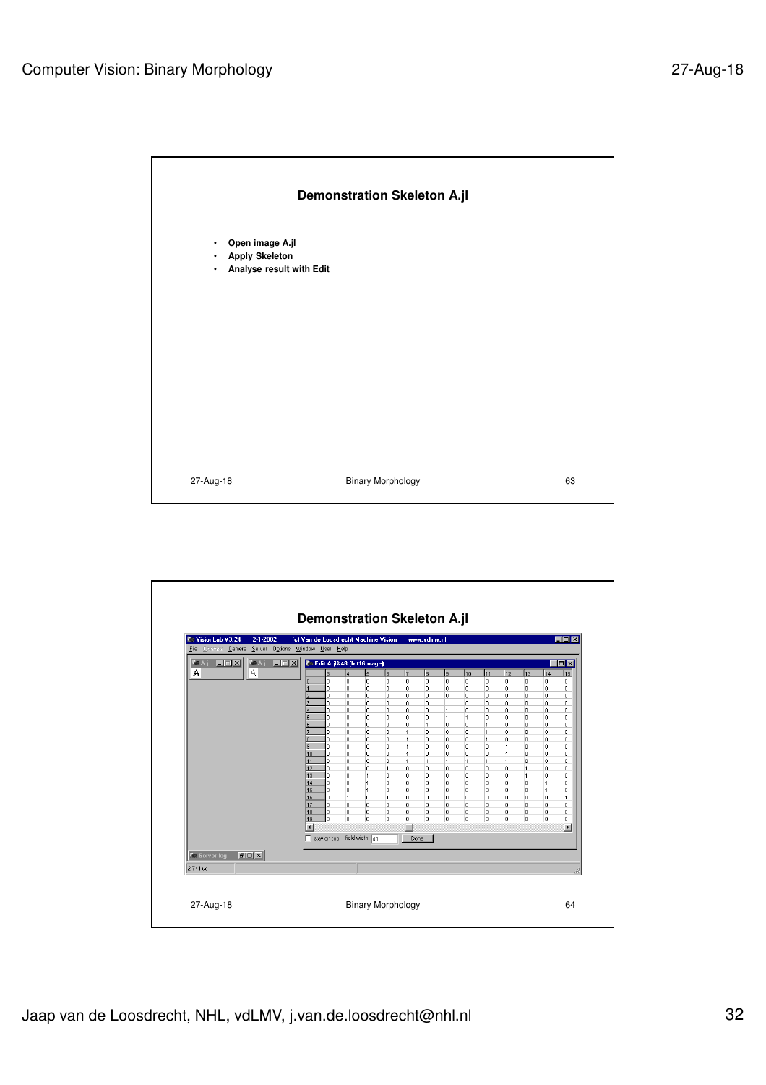

| <b>C</b> VisionLab V3.24      | $2 - 1 - 2002$<br>File Operator Camera Server Options Window User Help |                          |                                    |                          |                              | (c) Van de Loosdrecht Machine Vision |                      | www.vdlmv.nl      |                     |        |                        |                |                                |                      | $\Box$ o $\mathbf{X}$ |
|-------------------------------|------------------------------------------------------------------------|--------------------------|------------------------------------|--------------------------|------------------------------|--------------------------------------|----------------------|-------------------|---------------------|--------|------------------------|----------------|--------------------------------|----------------------|-----------------------|
| <b>Ke A.j., E E E XI</b><br>А | $FA$ , $\Box$ $\Box$<br>А                                              |                          | <b>C</b> Edit A.jl%48 (Int16Image) | a                        | 5                            | l6                                   | l7                   | l8                | <b>q</b>            | 10     | 11                     | 12             |                                |                      | EOX<br>15             |
|                               |                                                                        |                          | o                                  | 0                        | 0                            | 0                                    | o                    | o                 | o                   | o      | o                      | o              | 13<br>o                        | 14<br>lo.            | 0                     |
|                               |                                                                        |                          | 0                                  | o                        | 0                            | 0                                    | 0                    | o                 | o                   | 0      | o                      | o              | o                              | lo.                  | 0                     |
|                               |                                                                        |                          | o<br>o                             | $\mathbf{0}$<br>$\Omega$ | $\mathbf{0}$<br>$\mathbf{0}$ | 0<br>$\overline{0}$                  | 0<br>$\Omega$        | o<br>$\mathbf{0}$ | o<br>1              | o<br>o | o<br>o                 | o<br>o         | $\mathbf{0}$<br>$\Omega$       | ۱o<br>$\overline{0}$ | 0<br>0                |
|                               |                                                                        |                          | o                                  | $\Omega$                 | $\mathbf{0}$                 | $\Omega$                             | $\Omega$             | 0                 | $\vert$ 1           | 0      | o                      | o.             | o                              | lo.                  | $\overline{0}$        |
|                               |                                                                        |                          | Ō                                  | 0                        | 0                            | $\mathbf{0}$                         | $\overline{0}$       | $\mathbf{0}$      | $\overline{1}$      | 1      | O.                     | o              | o                              | lo.                  | 0                     |
|                               |                                                                        |                          | o                                  | o                        | 0                            | $\mathbf{0}$                         | 0                    | 1                 | $\overline{0}$      | o      | $\vert$ 1              | o              | o                              | lo.                  | $\overline{0}$        |
|                               |                                                                        |                          | 0<br>o                             | 0<br>0                   | 0<br>0                       | $\circ$<br>$\circ$                   | 1<br>$\overline{1}$  | o<br>o            | o<br>$\overline{0}$ | o<br>o | $\vert$ 1<br>$\vert$ 1 | o<br>o         | o<br>o                         | lo.<br>lo.           | 0<br>$\overline{0}$   |
|                               |                                                                        | я                        | o                                  | 0                        | 0                            | $\circ$                              | $\overline{1}$       | o                 | o                   | o      | o                      | $\overline{1}$ | o                              | lo.                  | $\overline{0}$        |
|                               |                                                                        | 10                       | o.                                 | o                        | o.                           | o                                    | 1                    | o                 | o                   | o      | o                      | $\overline{1}$ | o                              | lo.                  | o                     |
|                               |                                                                        | 11                       | o                                  | lo.                      | o.                           | o                                    | 1                    | 1                 | 1                   | 1      | 1                      | 1              | $\circ$                        | lo.                  | 0                     |
|                               |                                                                        | 12<br>13                 | o<br>o                             | 0<br>0                   | o.<br>$\mathbf{1}$           | 1<br>o                               | $\theta$<br>$\theta$ | o<br>o            | o<br>o              | o<br>o | o<br>l0.               | o<br>o         | $\mathbf{1}$<br>$\overline{1}$ | lo.<br>lo.           | 0<br>0                |
|                               |                                                                        | 14                       | o                                  | 0                        | 1                            | o                                    | $\theta$             | o                 | o                   | l0.    | lo.                    | o              | $\mathbf{0}$                   | h                    | 0                     |
|                               |                                                                        | 15                       | o                                  | 0                        | 1                            | o                                    | 0                    | 0                 | o                   | 0      | 0                      | o              | $\mathbf{0}$                   | $\overline{1}$       | 0                     |
|                               |                                                                        | 16                       | o<br>o                             | 1<br>$\mathbf{0}$        | o.                           | 1                                    | 0                    | 0<br>o            | o<br>o              | o      | 0                      | o<br>o         | 0<br>o                         | lo.<br>lo.           | $\mathbf{1}$          |
|                               |                                                                        | 17<br>18                 | l٥                                 | 0                        | 0<br>0                       | o<br>o                               | o<br>o               | 0                 | 0                   | o<br>0 | o<br>o                 | 0              | $\overline{0}$                 | o                    | 0<br>0                |
|                               |                                                                        | 19                       | 'n                                 | o                        | 0                            | o                                    | $\overline{0}$       | $\mathbf{0}$      | o                   | o      | o                      | o              | $\overline{0}$                 | o                    | 0                     |
|                               |                                                                        | $\overline{\phantom{a}}$ |                                    |                          |                              |                                      | п                    |                   |                     |        |                        |                |                                |                      | $\blacktriangleright$ |
|                               |                                                                        |                          | stay on top field width 40         |                          |                              |                                      |                      | Done              |                     |        |                        |                |                                |                      |                       |
| <b>C</b> e Server log         | <b>DDX</b>                                                             |                          |                                    |                          |                              |                                      |                      |                   |                     |        |                        |                |                                |                      |                       |
|                               |                                                                        |                          |                                    |                          |                              |                                      |                      |                   |                     |        |                        |                |                                |                      |                       |
| 2.744 us                      |                                                                        |                          |                                    |                          |                              |                                      |                      |                   |                     |        |                        |                |                                |                      |                       |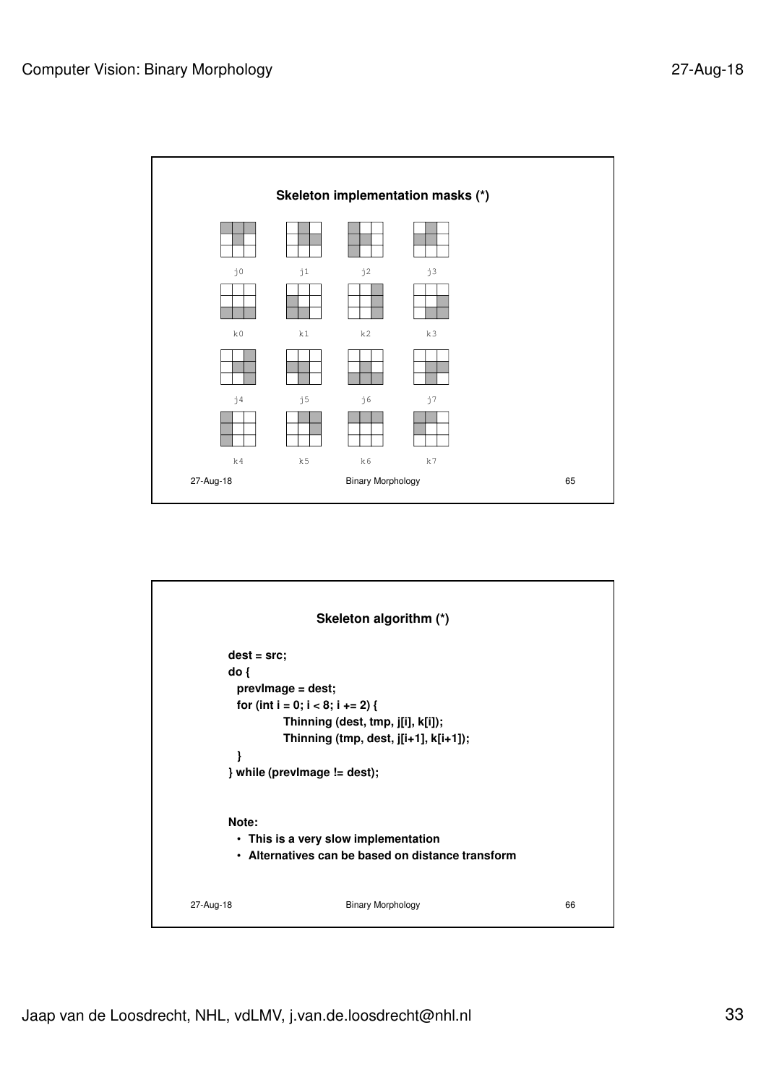

|                                       | Skeleton algorithm (*)                                                                                                                                              |    |
|---------------------------------------|---------------------------------------------------------------------------------------------------------------------------------------------------------------------|----|
| $dest = src;$<br>do <sub>1</sub><br>ł | previmage = dest;<br>for (int i = 0; i < 8; i += 2) {<br>Thinning (dest, tmp, j[i], k[i]);<br>Thinning (tmp, dest, j[i+1], k[i+1]);<br>} while (previmage != dest); |    |
| Note:<br>27-Aug-18                    | • This is a very slow implementation<br>• Alternatives can be based on distance transform<br><b>Binary Morphology</b>                                               | 66 |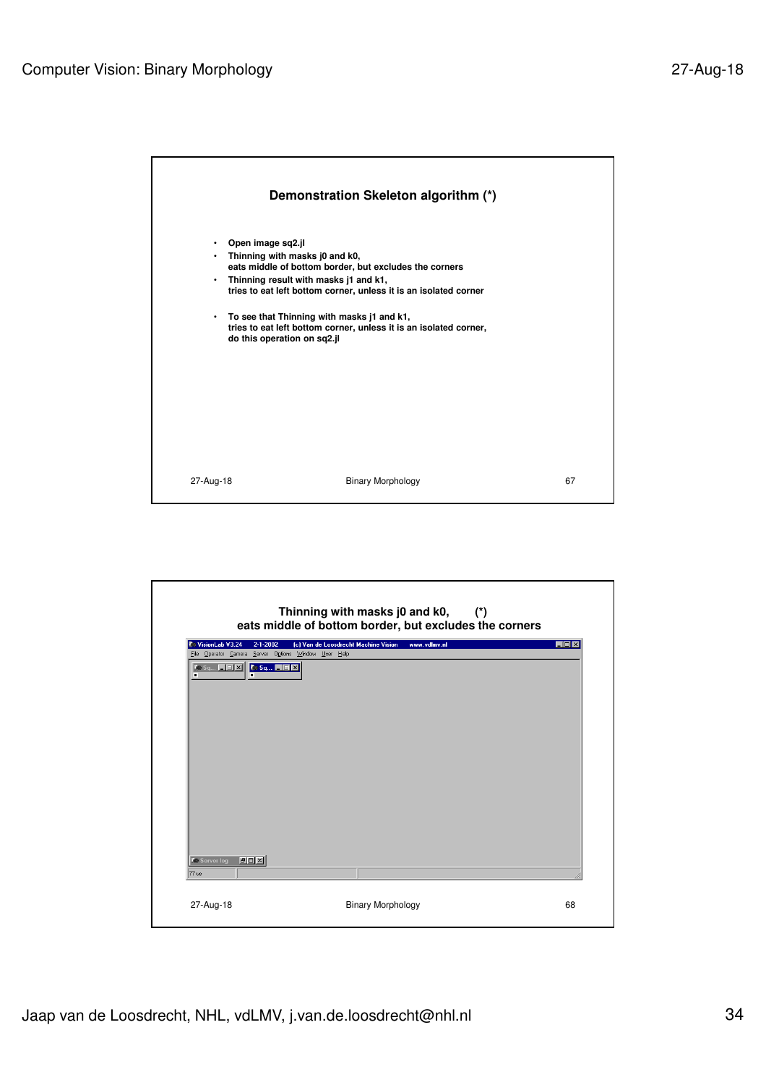

|                                                                                           | Thinning with masks j0 and k0,<br>$(\star)$<br>eats middle of bottom border, but excludes the corners |     |
|-------------------------------------------------------------------------------------------|-------------------------------------------------------------------------------------------------------|-----|
| VisionLab V3.24<br>$2 - 1 - 2002$<br>File Operator Camera Server Options Window User Help | (c) Van de Loosdrecht Machine Vision<br>www.ydlmv.nl                                                  | EOX |
| <b>Ke Sq E FE X C Sq FFE X</b><br>п                                                       |                                                                                                       |     |
| $F =  T $<br><b>C</b> Server log                                                          |                                                                                                       |     |
| 77 us                                                                                     |                                                                                                       |     |
| 27-Aug-18                                                                                 | <b>Binary Morphology</b>                                                                              | 68  |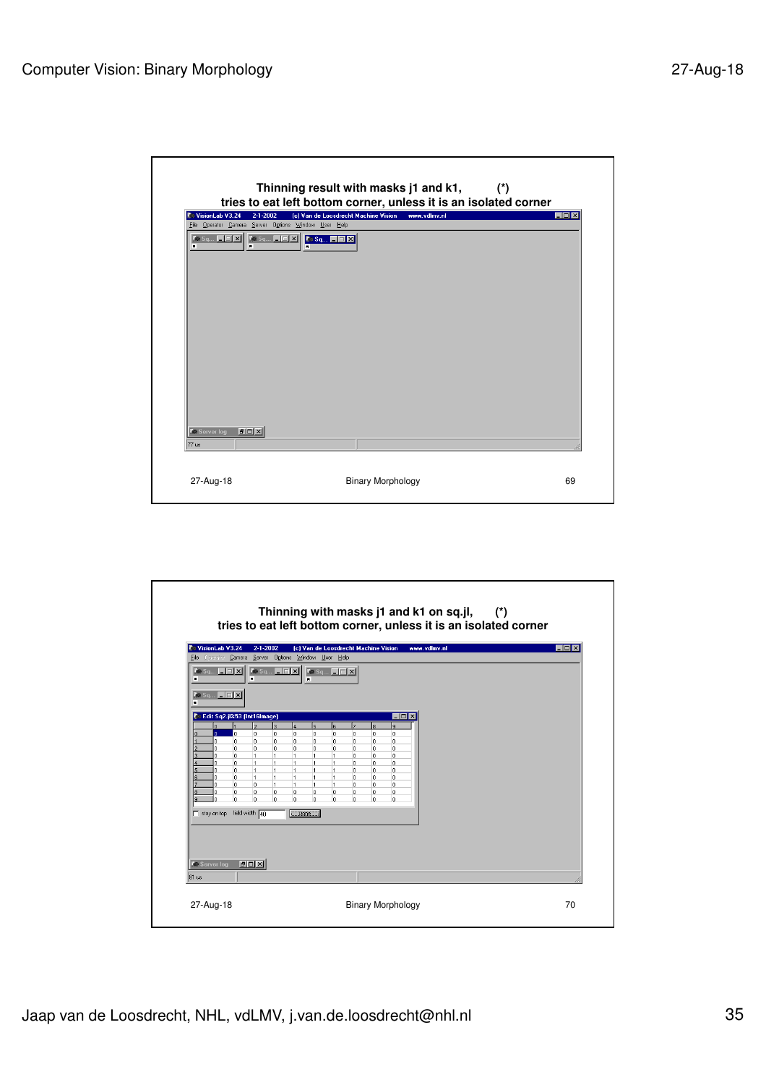| VisionLab V3.24<br>$2 - 1 - 2002$<br>File Operator Camera Server Options Window User Help | (c) Van de Loosdrecht Machine Vision<br>www.ydlmv.nl | EOX |
|-------------------------------------------------------------------------------------------|------------------------------------------------------|-----|
| п<br>$\blacksquare$                                                                       | $\overline{\phantom{a}}$                             |     |
|                                                                                           |                                                      |     |
|                                                                                           |                                                      |     |
|                                                                                           |                                                      |     |
|                                                                                           |                                                      |     |
|                                                                                           |                                                      |     |
|                                                                                           |                                                      |     |
|                                                                                           |                                                      |     |
| <b>DOX</b><br><b>C</b> e Server log                                                       |                                                      |     |
| 77 us                                                                                     |                                                      |     |

| п<br>$\mathbf{K} \bullet \mathbf{S} \mathbf{q}$ $\boxed{\blacksquare   \blacksquare   \mathbf{X}  }$<br>$\blacksquare$<br>Co Edit Sq2.jl%53 (Int16Image)<br>$\Box$ D $\times$<br>b<br>lз<br>ls.<br>l8.<br>$\overline{4}$<br>ь<br>l۹<br>lo.<br>6<br>lo.<br>١o<br>lo<br>lo.<br>la.<br>la.<br>o.<br>$\Omega$<br>$\Omega$<br>l0.<br>lo.<br>ō<br>'n<br>lo.<br>la.<br>n.<br>n.<br>$\circ$<br>$\Omega$<br>$\mathbf{0}$<br>In.<br>Ō.<br>n.<br>In.<br>In.<br>0<br>0<br>$\circ$<br>$\circ$<br>$\mathbf{0}$<br>$\mathbf{0}$<br>lo.<br>$\overline{1}$<br>$\mathbf{1}$<br>$\overline{1}$<br>o<br>$\overline{1}$<br>$\mathbf{1}$<br>O.<br>0<br>n.<br>'n<br>$\overline{1}$<br>$\overline{1}$<br>$\mathbf{1}$<br>0<br>o<br>1<br>$\overline{1}$<br>0<br>n<br>$\overline{1}$<br>$\overline{1}$<br>$\overline{1}$<br>lo.<br>$\circ$<br>o<br>1<br>$\overline{1}$<br>O<br>ň<br>$\overline{1}$<br>Ŀ1.<br>$\overline{1}$<br>lo.<br>o<br>'n<br>1<br>$\mathbf{1}$<br>lo.<br>n<br>'n<br>lo.<br>1<br>$\overline{1}$<br>$\mathbf{1}$<br>lo.<br>lo.<br>o<br>$\mathbf{1}$<br>lo.<br>o<br>lo.<br>o<br>ñ<br>o<br>o<br>o<br>0<br>O<br>ň<br>۱o<br>o<br>'n<br>o<br>0<br>0<br>O<br>$\overline{0}$<br>$\circ$ | $\blacksquare$ | File Operator Camera Server Options Window User Help |  |  |
|--------------------------------------------------------------------------------------------------------------------------------------------------------------------------------------------------------------------------------------------------------------------------------------------------------------------------------------------------------------------------------------------------------------------------------------------------------------------------------------------------------------------------------------------------------------------------------------------------------------------------------------------------------------------------------------------------------------------------------------------------------------------------------------------------------------------------------------------------------------------------------------------------------------------------------------------------------------------------------------------------------------------------------------------------------------------------------------------------------------------------------------------------------------------------|----------------|------------------------------------------------------|--|--|
|                                                                                                                                                                                                                                                                                                                                                                                                                                                                                                                                                                                                                                                                                                                                                                                                                                                                                                                                                                                                                                                                                                                                                                          |                |                                                      |  |  |
|                                                                                                                                                                                                                                                                                                                                                                                                                                                                                                                                                                                                                                                                                                                                                                                                                                                                                                                                                                                                                                                                                                                                                                          |                |                                                      |  |  |
|                                                                                                                                                                                                                                                                                                                                                                                                                                                                                                                                                                                                                                                                                                                                                                                                                                                                                                                                                                                                                                                                                                                                                                          |                |                                                      |  |  |
| stay on top field width 40<br>$\Box$ Done $\Box$                                                                                                                                                                                                                                                                                                                                                                                                                                                                                                                                                                                                                                                                                                                                                                                                                                                                                                                                                                                                                                                                                                                         |                |                                                      |  |  |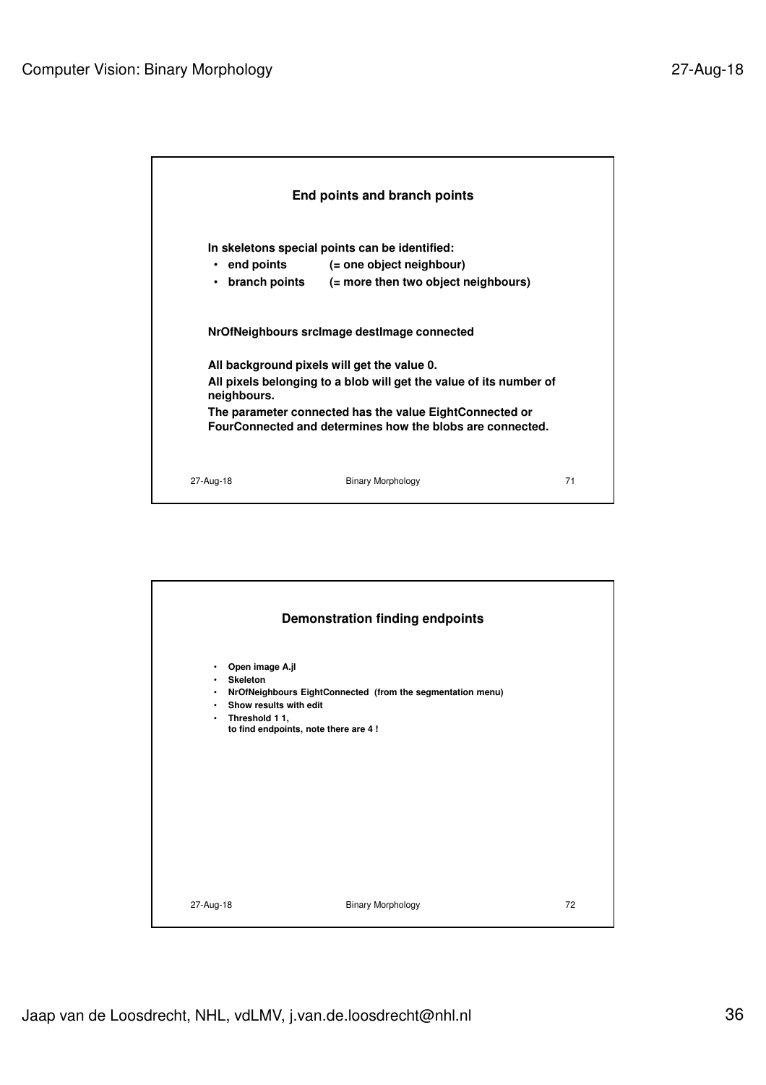

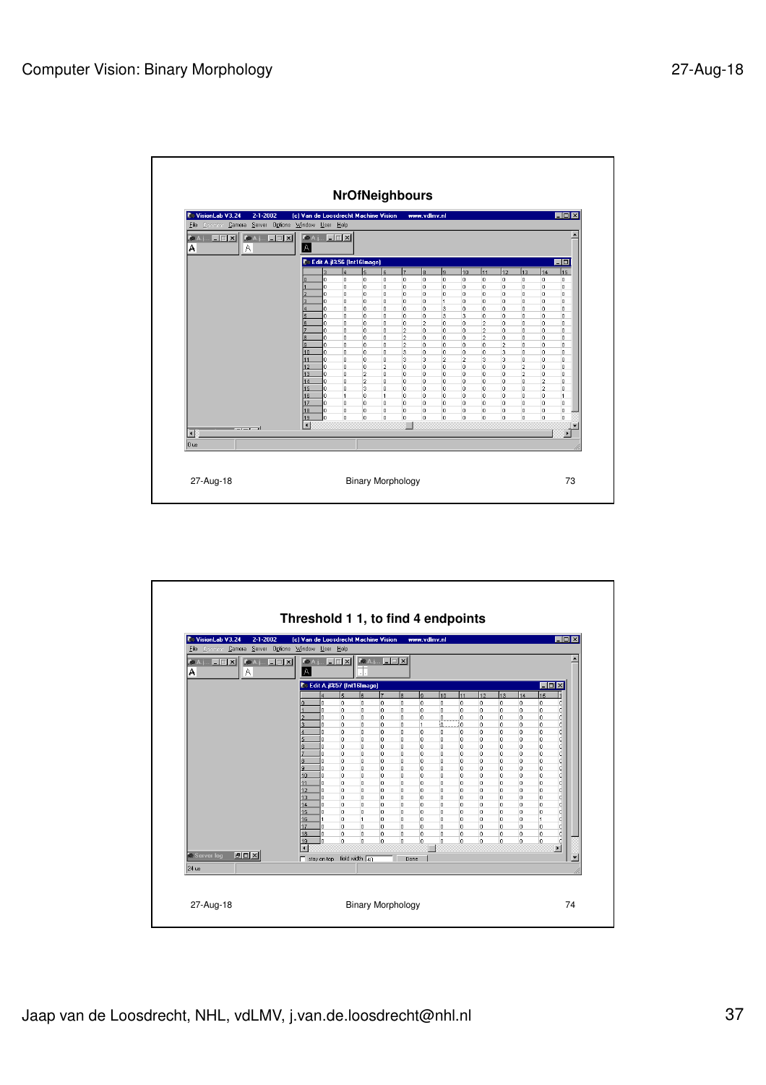

| VisionLab V3.24<br>$2 - 1 - 2002$<br>Camera Server Options Window User Help<br>File Operator | (c) Van de Loosdrecht Machine Vision |                                                   |                   |                         |                        |                            | www.vdlmv.nl   |                      |         |         |           |              |                     | EOX                   |  |
|----------------------------------------------------------------------------------------------|--------------------------------------|---------------------------------------------------|-------------------|-------------------------|------------------------|----------------------------|----------------|----------------------|---------|---------|-----------|--------------|---------------------|-----------------------|--|
| <b>KOA. I. EEK</b><br>$R = 1.1$<br>Α<br>A                                                    | A                                    |                                                   |                   |                         | <b>MAI. EEX ALLEEX</b> |                            |                |                      |         |         |           |              |                     |                       |  |
|                                                                                              |                                      | Co Edit A.jl%57 (Int16Image)<br>$\Box$ D $\times$ |                   |                         |                        |                            |                |                      |         |         |           |              |                     |                       |  |
|                                                                                              |                                      |                                                   | 5                 | ls                      | 7                      | ls.                        | ls.            | 10                   | 111     | 12      | 13        | 14           | 15                  |                       |  |
|                                                                                              |                                      | 0                                                 | 0                 | 0                       | 0                      | $\overline{0}$             | o              | $\circ$              | $\circ$ | 0       | o         | 0            | lo.                 | с                     |  |
|                                                                                              |                                      | n<br>n                                            | 0<br>o            | 0<br>$\Omega$           | o<br>o                 | $\overline{0}$<br>$\Omega$ | 0<br>0         | $\circ$<br>lo.       | 0<br>o. | 0<br>o. | o.<br>lo. | 0<br>o       | lo.<br>lo.          | c<br>c                |  |
|                                                                                              |                                      | la.                                               | 0                 | o                       | o                      | $\circ$                    | $\overline{1}$ | ю.                   | lo.     | lo.     | lo.       | o            | lo.                 | d                     |  |
|                                                                                              |                                      | la.                                               | 0                 | $\circ$                 | 0                      | $\circ$                    | $\circ$        | 0                    | o       | o       | o         | o            | lo.                 | d                     |  |
|                                                                                              |                                      | 'n                                                | 0                 | o                       | 0                      | o                          | $\circ$        | o                    | o       | lo.     | o         | o            | ln.                 | d                     |  |
|                                                                                              |                                      | 'n                                                | 0                 | $\circ$                 | 0                      | o                          | o              | o                    | o       | o       | o         | o            | 'n                  | 'n                    |  |
|                                                                                              |                                      | ń.                                                | 0                 | 0                       | o                      | $\circ$                    | o              | $\mathbf{0}$         | o       | o       | In.       | $\mathbf{0}$ | lo.                 | d                     |  |
|                                                                                              | ö                                    | o<br>'n                                           | 0<br>0            | 0<br>O                  | 0<br>0                 | lo.<br>0                   | o<br>o         | $\theta$<br>$\theta$ | 0<br>o  | o<br>o  | o<br>o    | o<br>o       | lo.<br>o            | d<br>d                |  |
|                                                                                              | 10                                   | lo.                                               | 0                 | 0                       | 0                      | 0                          | $\circ$        | $\circ$              | 0       | o       | o         | o            | lo.                 | d                     |  |
|                                                                                              | 11                                   | o                                                 | 0                 | o                       | o                      | o                          | o              | $\theta$             | o       | o       | o         | $\mathbf{0}$ | lo.                 | d                     |  |
|                                                                                              | 12                                   | o                                                 | 0                 | 0                       | 0                      | $\circ$                    | $\mathbf{0}$   | $\circ$              | o       | o       | o         | $\mathbf{0}$ | lo.                 | C.                    |  |
|                                                                                              | 13                                   | U.                                                | 0                 | 0                       | 0                      | $\circ$                    | $\mathbf{0}$   | $\circ$              | o       | o       | o         | $\mathbf{0}$ | o                   | C.                    |  |
|                                                                                              | 14                                   | U.                                                | 0                 | 0                       | 0                      | $\circ$                    | $\mathbf{0}$   | $\mathbf{0}$         | o       | o       | o         | o            | o                   | d<br>C                |  |
|                                                                                              | 15<br>16                             | o                                                 | 0<br>$\mathbf{0}$ | 0<br>$\overline{1}$     | o<br>o                 | 0<br>$\mathbf{0}$          | 0<br>$\circ$   | 0<br>$\mathbf{0}$    | o<br>o  | o<br>o  | o<br>o    | 0<br>0       | o<br>$\overline{1}$ | d                     |  |
|                                                                                              | 17                                   | 0                                                 | 0                 | $\circ$                 | o                      | $\mathbf{0}$               | $\circ$        | $\Omega$             | o       | o       | o         | o            | lo.                 | d                     |  |
|                                                                                              | 18                                   | o                                                 | 0                 | $\circ$                 | 0                      | $\overline{0}$             | $\circ$        | $\circ$              | 0       | 0       | o         | O            | lo.                 | d                     |  |
|                                                                                              | 19                                   | lo.                                               | o                 | $\Omega$                | o                      | $\overline{0}$             | $\circ$        | lo.                  | 0       | O.      | lo.       | o            | lo.                 | d                     |  |
|                                                                                              |                                      |                                                   |                   |                         |                        |                            |                |                      |         |         |           |              |                     | $\blacktriangleright$ |  |
| $F = x$<br><b>C</b> Server log                                                               | $\Box$ stay on top                   |                                                   |                   | field width $\sqrt{4n}$ |                        |                            | Done           |                      |         |         |           |              |                     |                       |  |
| $24$ us                                                                                      |                                      |                                                   |                   |                         |                        |                            |                |                      |         |         |           |              |                     |                       |  |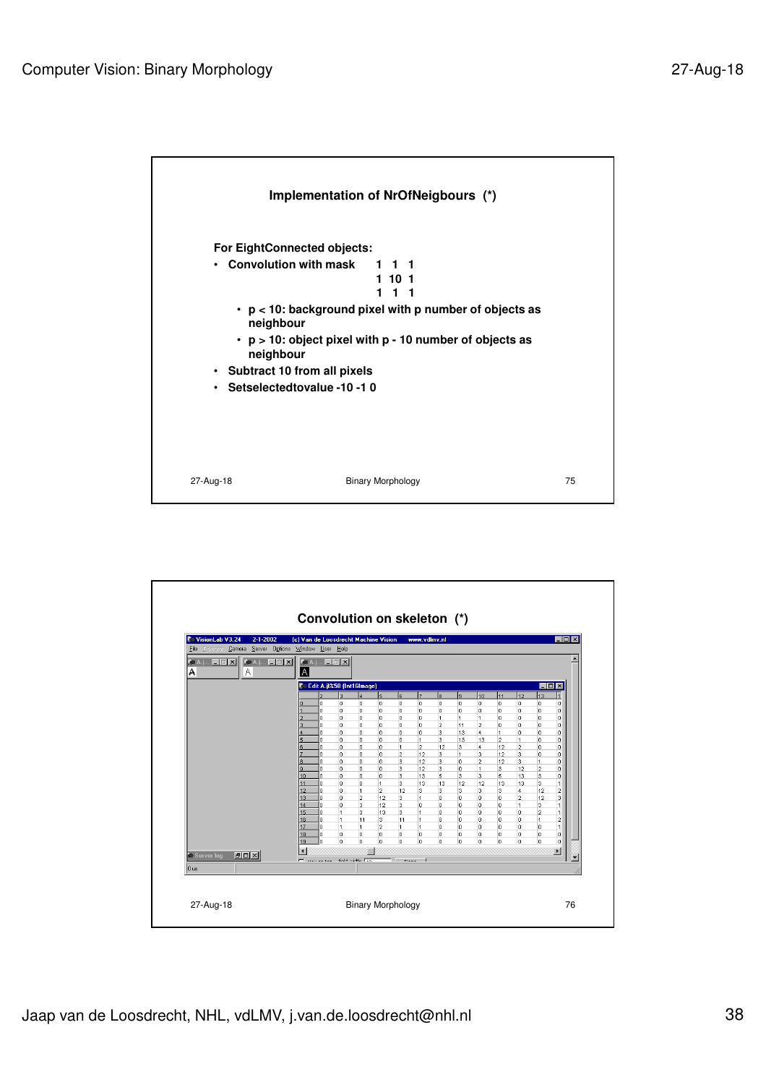

| <b>C</b> VisionLab V3.24<br>$2 - 1 - 2002$<br>Camera Server Options Window User Help<br>File Operator | (c) Van de Loosdrecht Machine Vision |                          |                                  |                              |                         |                | www.vdlmv.nl   |               |                |                     |                |                         |                                  | $\Box$ o $\mathbf{X}$    |
|-------------------------------------------------------------------------------------------------------|--------------------------------------|--------------------------|----------------------------------|------------------------------|-------------------------|----------------|----------------|---------------|----------------|---------------------|----------------|-------------------------|----------------------------------|--------------------------|
| <b>ALLEN</b><br><b>Ke A.j., E E X</b><br>А<br>А                                                       | $\overline{A}$                       |                          | <b>KeA.j., EEK</b>               |                              |                         |                |                |               |                |                     |                |                         |                                  |                          |
|                                                                                                       |                                      |                          |                                  | Co Edit A.jl%58 (Int16Image) |                         |                |                |               |                |                     |                |                         | $\blacksquare$ $\blacksquare$    |                          |
|                                                                                                       |                                      |                          | b                                |                              | 5                       | ls.            | z              | ls.           | l9.            | 10                  | 11             | 12                      | 13                               |                          |
|                                                                                                       |                                      | ň                        | o                                | o                            | 0                       | 0              | 0              | o             | o              | 0                   | o              | O                       | o                                | n                        |
|                                                                                                       |                                      | n<br>o                   | 0<br>0                           | 0<br>$\circ$                 | 0<br>0                  | 0<br>0         | 0<br>0         | $\theta$<br>1 | 0<br>1         | 0<br>$\overline{1}$ | o<br>lo.       | 0<br>0                  | о<br>o                           | o<br>α                   |
|                                                                                                       |                                      | l0.                      | o                                | $\circ$                      | 0                       | $\overline{0}$ | Ō              | 2             | 11             | $\overline{2}$      | lo.            | o                       | o                                | o.                       |
|                                                                                                       |                                      | la.                      | l0                               | $\circ$                      | 0                       | $\overline{0}$ | n              | 3             | 13             | 4                   | $\overline{1}$ | lo                      | lo.                              | ol                       |
|                                                                                                       |                                      | 'n                       | o                                | $\circ$                      | 0                       | $\mathbf{0}$   | $\overline{1}$ | 3             | 13             | 13                  | 2              | $\overline{1}$          | o                                | o                        |
|                                                                                                       |                                      | o                        | 0                                | 0                            | 0                       | $\overline{1}$ | $\overline{a}$ | 12            | 3              | 4                   | 12             | $\overline{2}$          | o                                | o                        |
|                                                                                                       | l8                                   | 'n<br>o                  | o<br>o                           | 0<br>0                       | o<br>o                  | $\overline{2}$ | 12<br>12       | 3             | $\vert$ 1<br>o | 3                   | 12             | 3                       | o<br>$\ddot{\mathbf{1}}$         | n<br>n                   |
|                                                                                                       | я                                    | o                        | 0                                | 0                            | 0                       | 3<br>3         | 12             | 3<br>3        | o              | $\overline{2}$<br>1 | 12<br>3        | з<br>12                 | 2                                | n                        |
|                                                                                                       | 10                                   | o                        | o                                | 0                            | o                       | 3              | 13             | 5             | 3              | 3                   | 5              | 13                      | з                                | n                        |
|                                                                                                       | 11                                   | o                        | 0                                | 0                            | 1                       | 3              | 13             | 13            | 12             | 12                  | 13             | 13                      | 3                                | 1                        |
|                                                                                                       | 12                                   | o                        | 0                                | $\mathbf{1}$                 | $\overline{2}$          | 12             | 3              | 3             | 3              | 3                   | з              | 4                       | 12                               | $\overline{\mathbf{2}}$  |
|                                                                                                       | 13                                   | o                        | 0                                | $\overline{2}$               | 12                      | 3              | 1              | $\circ$       | $\circ$        | o                   | o              | $\overline{\mathbf{2}}$ | 12                               | 3                        |
|                                                                                                       | 14                                   | In.                      | 0                                | 3                            | 12                      | 3              | 0              | 0             | 0              | 0                   | lo.            | $\overline{1}$          | з                                | 1                        |
|                                                                                                       | 15<br>16                             | o<br>o                   | $\overline{1}$<br>$\overline{1}$ | 3<br>11                      | 13<br>3                 | 3<br>11        | 1<br>1         | 0<br>$\circ$  | 0<br>$\circ$   | 0<br>0              | o<br>o         | 0<br>$\Omega$           | $\overline{2}$<br>$\overline{1}$ | $\overline{\mathbf{2}}$  |
|                                                                                                       | 17                                   | n                        | $\overline{1}$                   | 1                            | $\overline{\mathbf{c}}$ | $\overline{1}$ | 1              | $\Omega$      | $\circ$        | 0                   | lo.            | $\Omega$                | o                                | $\overline{1}$           |
|                                                                                                       | 18                                   | n                        | 0                                | $\circ$                      | $\circ$                 | $\circ$        | 0              | $\circ$       | o              | 0                   | O.             | O                       | o                                | o                        |
|                                                                                                       | 19                                   | o                        | lo.                              | lo.                          | o                       | lo.            | o              | o             | lo.            | o                   | lo.            | lo                      | o                                | $\overline{0}$           |
|                                                                                                       | $\blacksquare$                       |                          |                                  |                              |                         |                |                |               |                |                     |                |                         | $\blacktriangleright$            |                          |
| <b>PDX</b><br><b>C</b> Server log                                                                     |                                      | <b>The Company State</b> |                                  | <b>Gold middle Late</b>      |                         | $\overline{a}$ |                |               |                |                     |                |                         |                                  | $\overline{\phantom{a}}$ |
| $0$ us                                                                                                |                                      |                          |                                  |                              |                         |                |                |               |                |                     |                |                         |                                  |                          |